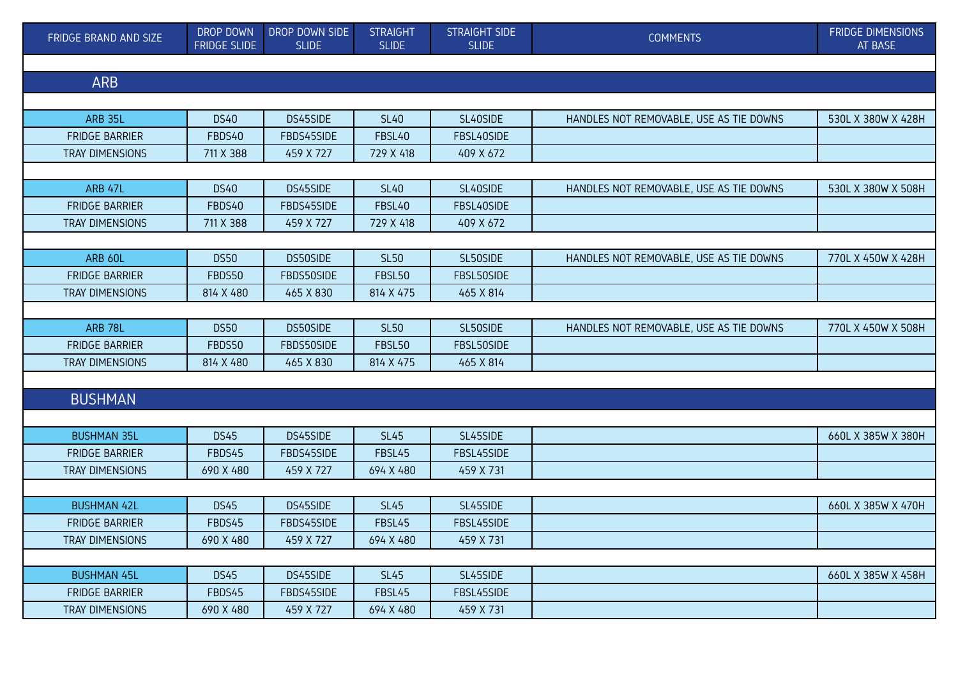| FRIDGE BRAND AND SIZE  | DROP DOWN<br><b>FRIDGE SLIDE</b> | DROP DOWN SIDE<br><b>SLIDE</b> | <b>STRAIGHT</b><br><b>SLIDE</b> | <b>STRAIGHT SIDE</b><br><b>SLIDE</b> | <b>COMMENTS</b>                         | <b>FRIDGE DIMENSIONS</b><br>AT BASE |  |  |
|------------------------|----------------------------------|--------------------------------|---------------------------------|--------------------------------------|-----------------------------------------|-------------------------------------|--|--|
|                        |                                  |                                |                                 |                                      |                                         |                                     |  |  |
| <b>ARB</b>             |                                  |                                |                                 |                                      |                                         |                                     |  |  |
|                        |                                  |                                |                                 |                                      |                                         |                                     |  |  |
| <b>ARB 35L</b>         | <b>DS40</b>                      | DS45SIDE                       | <b>SL40</b>                     | SL40SIDE                             | HANDLES NOT REMOVABLE, USE AS TIE DOWNS | 530L X 380W X 428H                  |  |  |
| <b>FRIDGE BARRIER</b>  | FBDS40                           | FBDS45SIDE                     | FBSL40                          | FBSL40SIDE                           |                                         |                                     |  |  |
| <b>TRAY DIMENSIONS</b> | 711 X 388                        | 459 X 727                      | 729 X 418                       | 409 X 672                            |                                         |                                     |  |  |
|                        |                                  |                                |                                 |                                      |                                         |                                     |  |  |
| ARB 47L                | <b>DS40</b>                      | DS45SIDE                       | <b>SL40</b>                     | SL40SIDE                             | HANDLES NOT REMOVABLE, USE AS TIE DOWNS | 530L X 380W X 508H                  |  |  |
| <b>FRIDGE BARRIER</b>  | FBDS40                           | FBDS45SIDE                     | FBSL40                          | FBSL40SIDE                           |                                         |                                     |  |  |
| <b>TRAY DIMENSIONS</b> | 711 X 388                        | 459 X 727                      | 729 X 418                       | 409 X 672                            |                                         |                                     |  |  |
|                        |                                  |                                |                                 |                                      |                                         |                                     |  |  |
| ARB 60L                | <b>DS50</b>                      | DS50SIDE                       | <b>SL50</b>                     | SL50SIDE                             | HANDLES NOT REMOVABLE, USE AS TIE DOWNS | 770L X 450W X 428H                  |  |  |
| <b>FRIDGE BARRIER</b>  | FBDS50                           | FBDS50SIDE                     | <b>FBSL50</b>                   | FBSL50SIDE                           |                                         |                                     |  |  |
| TRAY DIMENSIONS        | 814 X 480                        | 465 X 830                      | 814 X 475                       | 465 X 814                            |                                         |                                     |  |  |
|                        |                                  |                                |                                 |                                      |                                         |                                     |  |  |
| <b>ARB 78L</b>         | <b>DS50</b>                      | DS50SIDE                       | <b>SL50</b>                     | SL50SIDE                             | HANDLES NOT REMOVABLE, USE AS TIE DOWNS | 770L X 450W X 508H                  |  |  |
| <b>FRIDGE BARRIER</b>  | FBDS50                           | FBDS50SIDE                     | <b>FBSL50</b>                   | FBSL50SIDE                           |                                         |                                     |  |  |
| <b>TRAY DIMENSIONS</b> | 814 X 480                        | 465 X 830                      | 814 X 475                       | 465 X 814                            |                                         |                                     |  |  |
|                        |                                  |                                |                                 |                                      |                                         |                                     |  |  |
| <b>BUSHMAN</b>         |                                  |                                |                                 |                                      |                                         |                                     |  |  |
|                        |                                  |                                |                                 |                                      |                                         |                                     |  |  |
| <b>BUSHMAN 35L</b>     | <b>DS45</b>                      | DS45SIDE                       | <b>SL45</b>                     | SL45SIDE                             |                                         | 660L X 385W X 380H                  |  |  |
| <b>FRIDGE BARRIER</b>  | FBDS45                           | FBDS45SIDE                     | FBSL45                          | FBSL45SIDE                           |                                         |                                     |  |  |
| TRAY DIMENSIONS        | 690 X 480                        | 459 X 727                      | 694 X 480                       | 459 X 731                            |                                         |                                     |  |  |
|                        |                                  |                                |                                 |                                      |                                         |                                     |  |  |
| <b>BUSHMAN 42L</b>     | <b>DS45</b>                      | DS45SIDE                       | <b>SL45</b>                     | SL45SIDE                             |                                         | 660L X 385W X 470H                  |  |  |
| <b>FRIDGE BARRIER</b>  | FBDS45                           | FBDS45SIDE                     | FBSL45                          | FBSL45SIDE                           |                                         |                                     |  |  |
| TRAY DIMENSIONS        | 690 X 480                        | 459 X 727                      | 694 X 480                       | 459 X 731                            |                                         |                                     |  |  |
|                        |                                  |                                |                                 |                                      |                                         |                                     |  |  |
| <b>BUSHMAN 45L</b>     | <b>DS45</b>                      | DS45SIDE                       | <b>SL45</b>                     | SL45SIDE                             |                                         | 660L X 385W X 458H                  |  |  |
| <b>FRIDGE BARRIER</b>  | FBDS45                           | FBDS45SIDE                     | FBSL45                          | FBSL45SIDE                           |                                         |                                     |  |  |
| <b>TRAY DIMENSIONS</b> | 690 X 480                        | 459 X 727                      | 694 X 480                       | 459 X 731                            |                                         |                                     |  |  |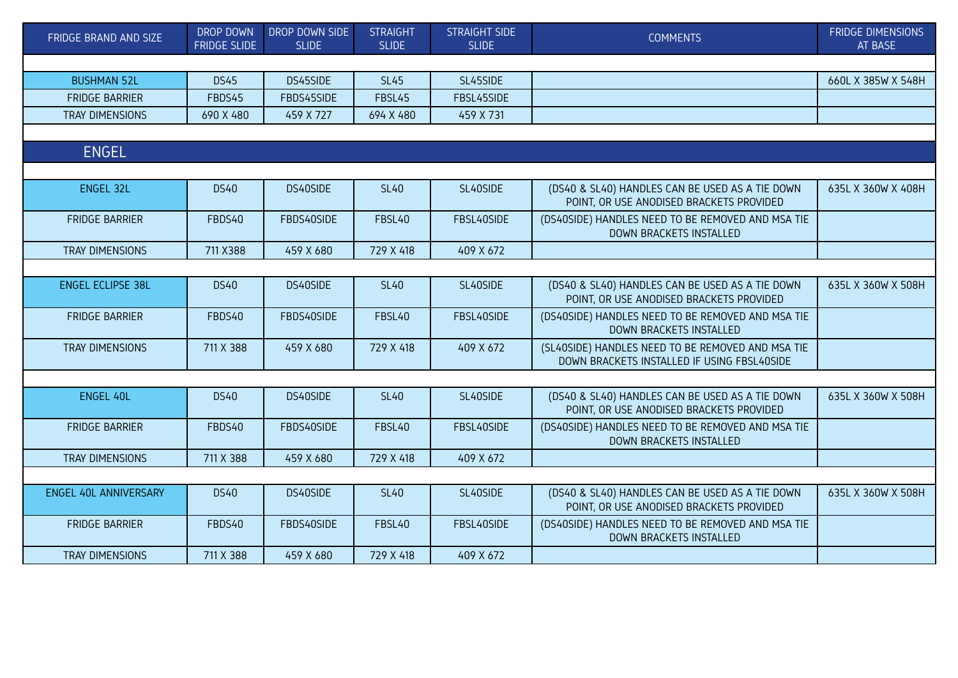| FRIDGE BRAND AND SIZE    | <b>DROP DOWN</b><br><b>FRIDGE SLIDE</b> | DROP DOWN SIDE<br><b>SLIDE</b> | <b>STRAIGHT</b><br><b>SLIDE</b> | <b>STRAIGHT SIDE</b><br><b>SLIDE</b> | <b>COMMENTS</b>                                                                                  | <b>FRIDGE DIMENSIONS</b><br>AT BASE |  |  |  |  |
|--------------------------|-----------------------------------------|--------------------------------|---------------------------------|--------------------------------------|--------------------------------------------------------------------------------------------------|-------------------------------------|--|--|--|--|
|                          |                                         |                                |                                 |                                      |                                                                                                  |                                     |  |  |  |  |
| <b>BUSHMAN 52L</b>       | <b>DS45</b>                             | DS45SIDE                       | <b>SL45</b>                     | SL45SIDE                             |                                                                                                  | 660L X 385W X 548H                  |  |  |  |  |
| <b>FRIDGE BARRIER</b>    | FBDS45                                  | FBDS45SIDE                     | FBSL45                          | FBSL45SIDE                           |                                                                                                  |                                     |  |  |  |  |
| <b>TRAY DIMENSIONS</b>   | 690 X 480                               | 459 X 727                      | 694 X 480                       | 459 X 731                            |                                                                                                  |                                     |  |  |  |  |
|                          |                                         |                                |                                 |                                      |                                                                                                  |                                     |  |  |  |  |
| <b>ENGEL</b>             |                                         |                                |                                 |                                      |                                                                                                  |                                     |  |  |  |  |
|                          |                                         |                                |                                 |                                      |                                                                                                  |                                     |  |  |  |  |
| <b>ENGEL 32L</b>         | <b>DS40</b>                             | DS40SIDE                       | <b>SL40</b>                     | SL40SIDE                             | (DS40 & SL40) HANDLES CAN BE USED AS A TIE DOWN<br>POINT, OR USE ANODISED BRACKETS PROVIDED      | 635L X 360W X 408H                  |  |  |  |  |
| <b>FRIDGE BARRIER</b>    | FBDS40                                  | FBDS40SIDE                     | FBSL40                          | FBSL40SIDE                           | (DS40SIDE) HANDLES NEED TO BE REMOVED AND MSA TIE<br><b>DOWN BRACKETS INSTALLED</b>              |                                     |  |  |  |  |
| TRAY DIMENSIONS          | 711 X388                                | 459 X 680                      | 729 X 418                       | 409 X 672                            |                                                                                                  |                                     |  |  |  |  |
|                          |                                         |                                |                                 |                                      |                                                                                                  |                                     |  |  |  |  |
| <b>ENGEL ECLIPSE 38L</b> | <b>DS40</b>                             | DS40SIDE                       | <b>SL40</b>                     | SL40SIDE                             | (DS40 & SL40) HANDLES CAN BE USED AS A TIE DOWN<br>POINT, OR USE ANODISED BRACKETS PROVIDED      | 635L X 360W X 508H                  |  |  |  |  |
| <b>FRIDGE BARRIER</b>    | FBDS40                                  | FBDS40SIDE                     | FBSL40                          | FBSL40SIDE                           | (DS40SIDE) HANDLES NEED TO BE REMOVED AND MSA TIE<br>DOWN BRACKETS INSTALLED                     |                                     |  |  |  |  |
| TRAY DIMENSIONS          | 711 X 388                               | 459 X 680                      | 729 X 418                       | 409 X 672                            | (SL40SIDE) HANDLES NEED TO BE REMOVED AND MSA TIE<br>DOWN BRACKETS INSTALLED IF USING FBSL40SIDE |                                     |  |  |  |  |
|                          |                                         |                                |                                 |                                      |                                                                                                  |                                     |  |  |  |  |
| <b>ENGEL 40L</b>         | <b>DS40</b>                             | DS40SIDE                       | <b>SL40</b>                     | SL40SIDE                             | (DS40 & SL40) HANDLES CAN BE USED AS A TIE DOWN<br>POINT, OR USE ANODISED BRACKETS PROVIDED      | 635L X 360W X 508H                  |  |  |  |  |
| <b>FRIDGE BARRIER</b>    | FBDS40                                  | FBDS40SIDE                     | FBSL40                          | FBSL40SIDE                           | (DS40SIDE) HANDLES NEED TO BE REMOVED AND MSA TIE<br>DOWN BRACKETS INSTALLED                     |                                     |  |  |  |  |
| <b>TRAY DIMENSIONS</b>   | 711 X 388                               | 459 X 680                      | 729 X 418                       | 409 X 672                            |                                                                                                  |                                     |  |  |  |  |
|                          |                                         |                                |                                 |                                      |                                                                                                  |                                     |  |  |  |  |
| ENGEL 40L ANNIVERSARY    | <b>DS40</b>                             | DS40SIDE                       | <b>SL40</b>                     | SL40SIDE                             | (DS40 & SL40) HANDLES CAN BE USED AS A TIE DOWN<br>POINT, OR USE ANODISED BRACKETS PROVIDED      | 635L X 360W X 508H                  |  |  |  |  |
| <b>FRIDGE BARRIER</b>    | FBDS40                                  | FBDS40SIDE                     | FBSL40                          | FBSL40SIDE                           | (DS40SIDE) HANDLES NEED TO BE REMOVED AND MSA TIE<br>DOWN BRACKETS INSTALLED                     |                                     |  |  |  |  |
| TRAY DIMENSIONS          | 711 X 388                               | 459 X 680                      | 729 X 418                       | 409 X 672                            |                                                                                                  |                                     |  |  |  |  |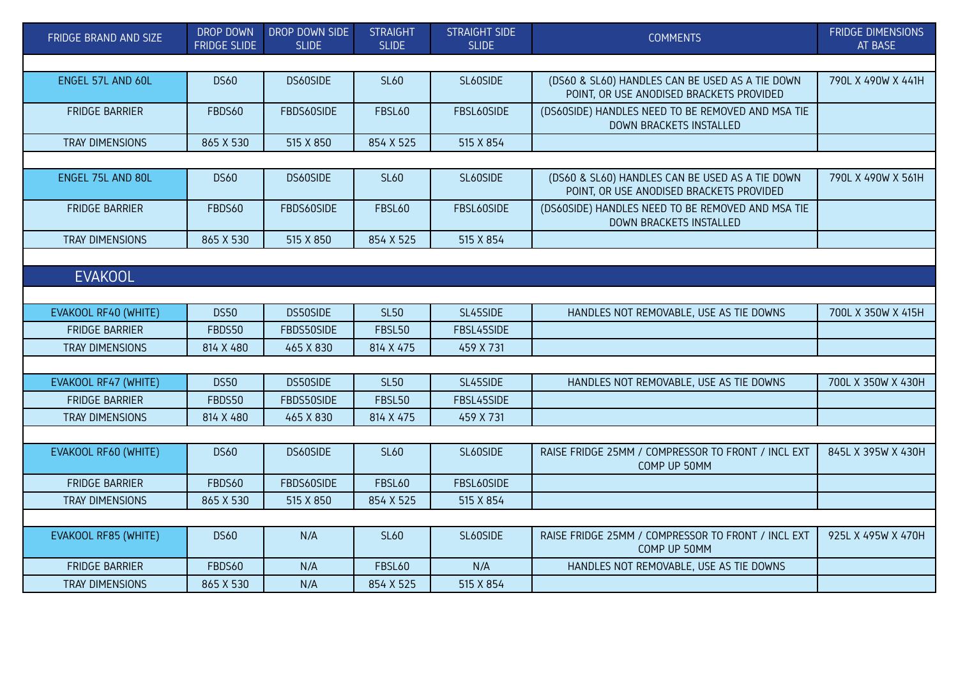| FRIDGE BRAND AND SIZE  | DROP DOWN<br><b>FRIDGE SLIDE</b> | DROP DOWN SIDE<br><b>SLIDE</b> | <b>STRAIGHT</b><br><b>SLIDE</b> | <b>STRAIGHT SIDE</b><br><b>SLIDE</b> | <b>COMMENTS</b>                                                                             | <b>FRIDGE DIMENSIONS</b><br>AT BASE |  |  |  |
|------------------------|----------------------------------|--------------------------------|---------------------------------|--------------------------------------|---------------------------------------------------------------------------------------------|-------------------------------------|--|--|--|
|                        |                                  |                                |                                 |                                      |                                                                                             |                                     |  |  |  |
| ENGEL 57L AND 60L      | <b>DS60</b>                      | DS60SIDE                       | <b>SL60</b>                     | SL60SIDE                             | (DS60 & SL60) HANDLES CAN BE USED AS A TIE DOWN<br>POINT, OR USE ANODISED BRACKETS PROVIDED | 790L X 490W X 441H                  |  |  |  |
| <b>FRIDGE BARRIER</b>  | FBDS60                           | FBDS60SIDE                     | <b>FBSL60</b>                   | FBSL60SIDE                           | (DS60SIDE) HANDLES NEED TO BE REMOVED AND MSA TIE<br><b>DOWN BRACKETS INSTALLED</b>         |                                     |  |  |  |
| TRAY DIMENSIONS        | 865 X 530                        | 515 X 850                      | 854 X 525                       | 515 X 854                            |                                                                                             |                                     |  |  |  |
|                        |                                  |                                |                                 |                                      |                                                                                             |                                     |  |  |  |
| ENGEL 75L AND 80L      | <b>DS60</b>                      | DS60SIDE                       | <b>SL60</b>                     | SL60SIDE                             | (DS60 & SL60) HANDLES CAN BE USED AS A TIE DOWN<br>POINT, OR USE ANODISED BRACKETS PROVIDED | 790L X 490W X 561H                  |  |  |  |
| <b>FRIDGE BARRIER</b>  | FBDS60                           | FBDS60SIDE                     | <b>FBSL60</b>                   | FBSL60SIDE                           | (DS60SIDE) HANDLES NEED TO BE REMOVED AND MSA TIE<br>DOWN BRACKETS INSTALLED                |                                     |  |  |  |
| <b>TRAY DIMENSIONS</b> | 865 X 530                        | 515 X 850                      | 854 X 525                       | 515 X 854                            |                                                                                             |                                     |  |  |  |
|                        |                                  |                                |                                 |                                      |                                                                                             |                                     |  |  |  |
| <b>EVAKOOL</b>         |                                  |                                |                                 |                                      |                                                                                             |                                     |  |  |  |
|                        |                                  |                                |                                 |                                      |                                                                                             |                                     |  |  |  |
| EVAKOOL RF40 (WHITE)   | <b>DS50</b>                      | DS50SIDE                       | <b>SL50</b>                     | SL45SIDE                             | HANDLES NOT REMOVABLE, USE AS TIE DOWNS                                                     | 700L X 350W X 415H                  |  |  |  |
| <b>FRIDGE BARRIER</b>  | FBDS50                           | FBDS50SIDE                     | FBSL50                          | FBSL45SIDE                           |                                                                                             |                                     |  |  |  |
| TRAY DIMENSIONS        | 814 X 480                        | 465 X 830                      | 814 X 475                       | 459 X 731                            |                                                                                             |                                     |  |  |  |
|                        |                                  |                                |                                 |                                      |                                                                                             |                                     |  |  |  |
| EVAKOOL RF47 (WHITE)   | <b>DS50</b>                      | DS50SIDE                       | <b>SL50</b>                     | SL45SIDE                             | HANDLES NOT REMOVABLE, USE AS TIE DOWNS                                                     | 700L X 350W X 430H                  |  |  |  |
| <b>FRIDGE BARRIER</b>  | FBDS50                           | FBDS50SIDE                     | FBSL50                          | FBSL45SIDE                           |                                                                                             |                                     |  |  |  |
| TRAY DIMENSIONS        | 814 X 480                        | 465 X 830                      | 814 X 475                       | 459 X 731                            |                                                                                             |                                     |  |  |  |
|                        |                                  |                                |                                 |                                      |                                                                                             |                                     |  |  |  |
| EVAKOOL RF60 (WHITE)   | <b>DS60</b>                      | DS60SIDE                       | <b>SL60</b>                     | SL60SIDE                             | RAISE FRIDGE 25MM / COMPRESSOR TO FRONT / INCL EXT<br>COMP UP 50MM                          | 845L X 395W X 430H                  |  |  |  |
| <b>FRIDGE BARRIER</b>  | FBDS60                           | FBDS60SIDE                     | <b>FBSL60</b>                   | FBSL60SIDE                           |                                                                                             |                                     |  |  |  |
| TRAY DIMENSIONS        | 865 X 530                        | 515 X 850                      | 854 X 525                       | 515 X 854                            |                                                                                             |                                     |  |  |  |
|                        |                                  |                                |                                 |                                      |                                                                                             |                                     |  |  |  |
| EVAKOOL RF85 (WHITE)   | <b>DS60</b>                      | N/A                            | <b>SL60</b>                     | SL60SIDE                             | RAISE FRIDGE 25MM / COMPRESSOR TO FRONT / INCL EXT<br>COMP UP 50MM                          | 925L X 495W X 470H                  |  |  |  |
| <b>FRIDGE BARRIER</b>  | FBDS60                           | N/A                            | <b>FBSL60</b>                   | N/A                                  | HANDLES NOT REMOVABLE, USE AS TIE DOWNS                                                     |                                     |  |  |  |
| <b>TRAY DIMENSIONS</b> | 865 X 530                        | N/A                            | 854 X 525                       | 515 X 854                            |                                                                                             |                                     |  |  |  |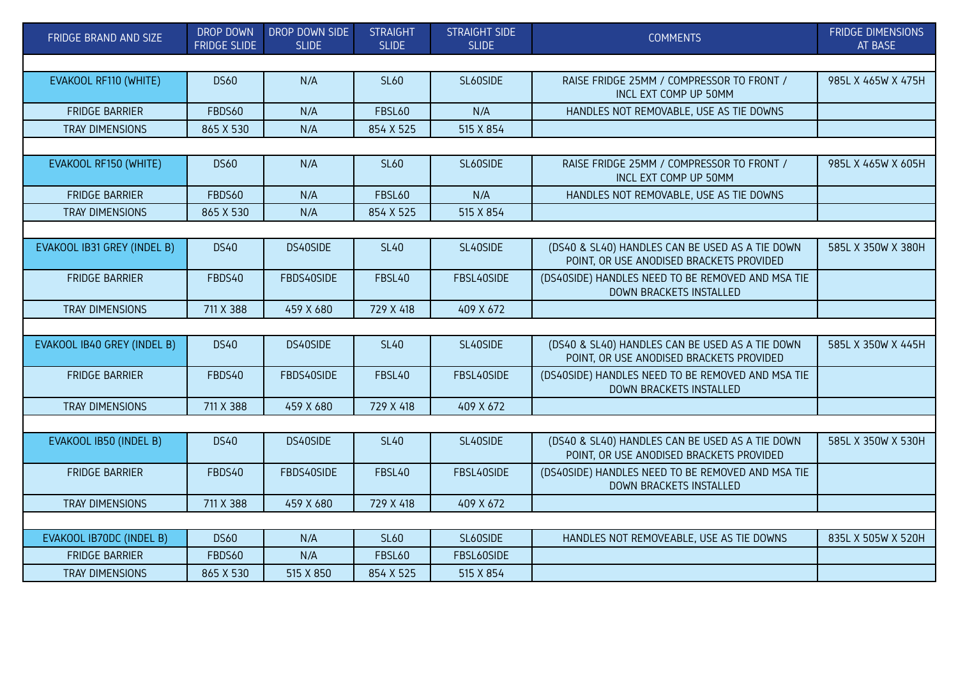| FRIDGE BRAND AND SIZE       | <b>DROP DOWN</b><br><b>FRIDGE SLIDE</b> | DROP DOWN SIDE<br><b>SLIDE</b> | <b>STRAIGHT</b><br><b>SLIDE</b> | <b>STRAIGHT SIDE</b><br><b>SLIDE</b> | <b>COMMENTS</b>                                                                             | <b>FRIDGE DIMENSIONS</b><br><b>AT BASE</b> |  |  |  |
|-----------------------------|-----------------------------------------|--------------------------------|---------------------------------|--------------------------------------|---------------------------------------------------------------------------------------------|--------------------------------------------|--|--|--|
|                             |                                         |                                |                                 |                                      |                                                                                             |                                            |  |  |  |
| EVAKOOL RF110 (WHITE)       | <b>DS60</b>                             | N/A                            | <b>SL60</b>                     | SL60SIDE                             | RAISE FRIDGE 25MM / COMPRESSOR TO FRONT /<br>INCL EXT COMP UP 50MM                          | 985L X 465W X 475H                         |  |  |  |
| <b>FRIDGE BARRIER</b>       | FBDS60                                  | N/A                            | <b>FBSL60</b>                   | N/A                                  | HANDLES NOT REMOVABLE, USE AS TIE DOWNS                                                     |                                            |  |  |  |
| <b>TRAY DIMENSIONS</b>      | 865 X 530                               | N/A                            | 854 X 525                       | 515 X 854                            |                                                                                             |                                            |  |  |  |
|                             |                                         |                                |                                 |                                      |                                                                                             |                                            |  |  |  |
| EVAKOOL RF150 (WHITE)       | <b>DS60</b>                             | N/A                            | <b>SL60</b>                     | SL60SIDE                             | RAISE FRIDGE 25MM / COMPRESSOR TO FRONT /<br>INCL EXT COMP UP 50MM                          | 985L X 465W X 605H                         |  |  |  |
| <b>FRIDGE BARRIER</b>       | FBDS60                                  | N/A                            | <b>FBSL60</b>                   | N/A                                  | HANDLES NOT REMOVABLE, USE AS TIE DOWNS                                                     |                                            |  |  |  |
| <b>TRAY DIMENSIONS</b>      | 865 X 530                               | N/A                            | 854 X 525                       | 515 X 854                            |                                                                                             |                                            |  |  |  |
|                             |                                         |                                |                                 |                                      |                                                                                             |                                            |  |  |  |
| EVAKOOL IB31 GREY (INDEL B) | <b>DS40</b>                             | DS40SIDE                       | <b>SL40</b>                     | SL40SIDE                             | (DS40 & SL40) HANDLES CAN BE USED AS A TIE DOWN<br>POINT, OR USE ANODISED BRACKETS PROVIDED | 585L X 350W X 380H                         |  |  |  |
| <b>FRIDGE BARRIER</b>       | FBDS40                                  | FBDS40SIDE                     | FBSL40                          | FBSL40SIDE                           | (DS40SIDE) HANDLES NEED TO BE REMOVED AND MSA TIE<br>DOWN BRACKETS INSTALLED                |                                            |  |  |  |
| TRAY DIMENSIONS             | 711 X 388                               | 459 X 680                      | 729 X 418                       | 409 X 672                            |                                                                                             |                                            |  |  |  |
|                             |                                         |                                |                                 |                                      |                                                                                             |                                            |  |  |  |
| EVAKOOL IB40 GREY (INDEL B) | <b>DS40</b>                             | DS40SIDE                       | <b>SL40</b>                     | SL40SIDE                             | (DS40 & SL40) HANDLES CAN BE USED AS A TIE DOWN<br>POINT, OR USE ANODISED BRACKETS PROVIDED | 585L X 350W X 445H                         |  |  |  |
| <b>FRIDGE BARRIER</b>       | FBDS40                                  | FBDS40SIDE                     | FBSL40                          | FBSL40SIDE                           | (DS40SIDE) HANDLES NEED TO BE REMOVED AND MSA TIE<br>DOWN BRACKETS INSTALLED                |                                            |  |  |  |
| <b>TRAY DIMENSIONS</b>      | 711 X 388                               | 459 X 680                      | 729 X 418                       | 409 X 672                            |                                                                                             |                                            |  |  |  |
|                             |                                         |                                |                                 |                                      |                                                                                             |                                            |  |  |  |
| EVAKOOL IB50 (INDEL B)      | <b>DS40</b>                             | DS40SIDE                       | <b>SL40</b>                     | SL40SIDE                             | (DS40 & SL40) HANDLES CAN BE USED AS A TIE DOWN<br>POINT, OR USE ANODISED BRACKETS PROVIDED | 585L X 350W X 530H                         |  |  |  |
| <b>FRIDGE BARRIER</b>       | FBDS40                                  | FBDS40SIDE                     | FBSL40                          | FBSL40SIDE                           | (DS40SIDE) HANDLES NEED TO BE REMOVED AND MSA TIE<br>DOWN BRACKETS INSTALLED                |                                            |  |  |  |
| TRAY DIMENSIONS             | 711 X 388                               | 459 X 680                      | 729 X 418                       | 409 X 672                            |                                                                                             |                                            |  |  |  |
|                             |                                         |                                |                                 |                                      |                                                                                             |                                            |  |  |  |
| EVAKOOL IB70DC (INDEL B)    | <b>DS60</b>                             | N/A                            | <b>SL60</b>                     | SL60SIDE                             | HANDLES NOT REMOVEABLE, USE AS TIE DOWNS                                                    | 835L X 505W X 520H                         |  |  |  |
| <b>FRIDGE BARRIER</b>       | FBDS60                                  | N/A                            | <b>FBSL60</b>                   | FBSL60SIDE                           |                                                                                             |                                            |  |  |  |
| <b>TRAY DIMENSIONS</b>      | 865 X 530                               | 515 X 850                      | 854 X 525                       | 515 X 854                            |                                                                                             |                                            |  |  |  |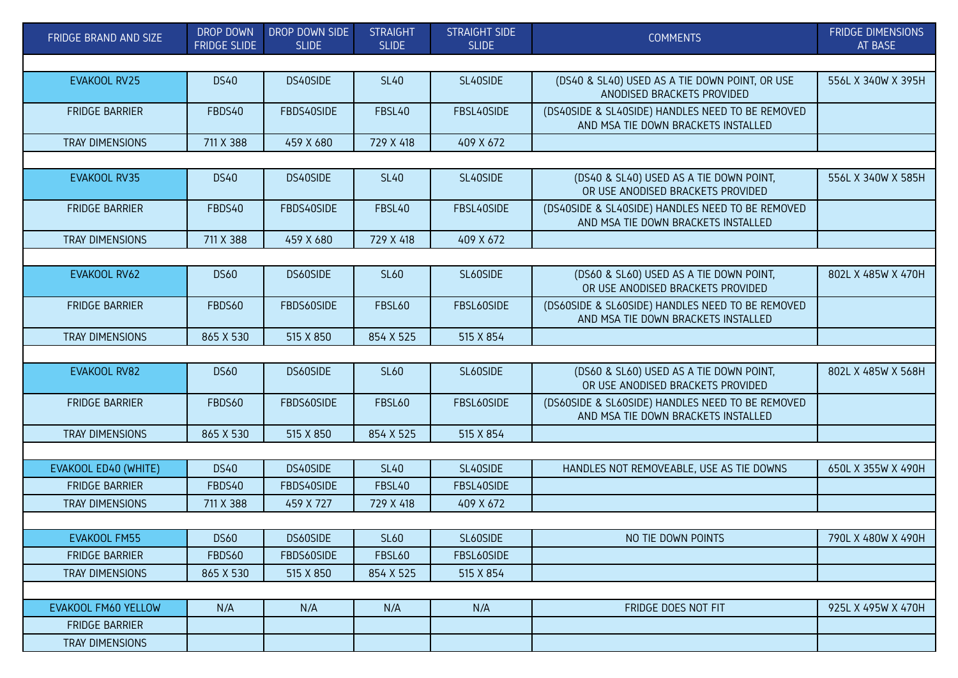| FRIDGE BRAND AND SIZE  | DROP DOWN<br><b>FRIDGE SLIDE</b> | DROP DOWN SIDE<br><b>SLIDE</b> | <b>STRAIGHT</b><br><b>SLIDE</b> | <b>STRAIGHT SIDE</b><br><b>SLIDE</b> | <b>COMMENTS</b>                                                                         | <b>FRIDGE DIMENSIONS</b><br>AT BASE |
|------------------------|----------------------------------|--------------------------------|---------------------------------|--------------------------------------|-----------------------------------------------------------------------------------------|-------------------------------------|
|                        |                                  |                                |                                 |                                      |                                                                                         |                                     |
| EVAKOOL RV25           | <b>DS40</b>                      | DS40SIDE                       | <b>SL40</b>                     | SL40SIDE                             | (DS40 & SL40) USED AS A TIE DOWN POINT, OR USE<br>ANODISED BRACKETS PROVIDED            | 556L X 340W X 395H                  |
| <b>FRIDGE BARRIER</b>  | FBDS40                           | FBDS40SIDE                     | FBSL40                          | FBSL40SIDE                           | (DS40SIDE & SL40SIDE) HANDLES NEED TO BE REMOVED<br>AND MSA TIE DOWN BRACKETS INSTALLED |                                     |
| <b>TRAY DIMENSIONS</b> | 711 X 388                        | 459 X 680                      | 729 X 418                       | 409 X 672                            |                                                                                         |                                     |
|                        |                                  |                                |                                 |                                      |                                                                                         |                                     |
| EVAKOOL RV35           | <b>DS40</b>                      | DS40SIDE                       | <b>SL40</b>                     | SL40SIDE                             | (DS40 & SL40) USED AS A TIE DOWN POINT,<br>OR USE ANODISED BRACKETS PROVIDED            | 556L X 340W X 585H                  |
| <b>FRIDGE BARRIER</b>  | FBDS40                           | FBDS40SIDE                     | FBSL40                          | FBSL40SIDE                           | (DS40SIDE & SL40SIDE) HANDLES NEED TO BE REMOVED<br>AND MSA TIE DOWN BRACKETS INSTALLED |                                     |
| <b>TRAY DIMENSIONS</b> | 711 X 388                        | 459 X 680                      | 729 X 418                       | 409 X 672                            |                                                                                         |                                     |
|                        |                                  |                                |                                 |                                      |                                                                                         |                                     |
| EVAKOOL RV62           | <b>DS60</b>                      | DS60SIDE                       | <b>SL60</b>                     | SL60SIDE                             | (DS60 & SL60) USED AS A TIE DOWN POINT,<br>OR USE ANODISED BRACKETS PROVIDED            | 802L X 485W X 470H                  |
| <b>FRIDGE BARRIER</b>  | FBDS60                           | FBDS60SIDE                     | <b>FBSL60</b>                   | FBSL60SIDE                           | (DS60SIDE & SL60SIDE) HANDLES NEED TO BE REMOVED<br>AND MSA TIE DOWN BRACKETS INSTALLED |                                     |
| <b>TRAY DIMENSIONS</b> | 865 X 530                        | 515 X 850                      | 854 X 525                       | 515 X 854                            |                                                                                         |                                     |
|                        |                                  |                                |                                 |                                      |                                                                                         |                                     |
| EVAKOOL RV82           | <b>DS60</b>                      | DS60SIDE                       | <b>SL60</b>                     | SL60SIDE                             | (DS60 & SL60) USED AS A TIE DOWN POINT,<br>OR USE ANODISED BRACKETS PROVIDED            | 802L X 485W X 568H                  |
| <b>FRIDGE BARRIER</b>  | FBDS60                           | FBDS60SIDE                     | <b>FBSL60</b>                   | FBSL60SIDE                           | (DS60SIDE & SL60SIDE) HANDLES NEED TO BE REMOVED<br>AND MSA TIE DOWN BRACKETS INSTALLED |                                     |
| <b>TRAY DIMENSIONS</b> | 865 X 530                        | 515 X 850                      | 854 X 525                       | 515 X 854                            |                                                                                         |                                     |
|                        |                                  |                                |                                 |                                      |                                                                                         |                                     |
| EVAKOOL ED40 (WHITE)   | <b>DS40</b>                      | DS40SIDE                       | <b>SL40</b>                     | SL40SIDE                             | HANDLES NOT REMOVEABLE, USE AS TIE DOWNS                                                | 650L X 355W X 490H                  |
| <b>FRIDGE BARRIER</b>  | FBDS40                           | FBDS40SIDE                     | FBSL40                          | FBSL40SIDE                           |                                                                                         |                                     |
| <b>TRAY DIMENSIONS</b> | 711 X 388                        | 459 X 727                      | 729 X 418                       | 409 X 672                            |                                                                                         |                                     |
|                        |                                  |                                |                                 |                                      |                                                                                         |                                     |
| <b>EVAKOOL FM55</b>    | <b>DS60</b>                      | DS60SIDE                       | <b>SL60</b>                     | SL60SIDE                             | NO TIE DOWN POINTS                                                                      | 790L X 480W X 490H                  |
| <b>FRIDGE BARRIER</b>  | FBDS60                           | FBDS60SIDE                     | <b>FBSL60</b>                   | FBSL60SIDE                           |                                                                                         |                                     |
| TRAY DIMENSIONS        | 865 X 530                        | 515 X 850                      | 854 X 525                       | 515 X 854                            |                                                                                         |                                     |
|                        |                                  |                                |                                 |                                      |                                                                                         |                                     |
| EVAKOOL FM60 YELLOW    | N/A                              | N/A                            | N/A                             | N/A                                  | FRIDGE DOES NOT FIT                                                                     | 925L X 495W X 470H                  |
| <b>FRIDGE BARRIER</b>  |                                  |                                |                                 |                                      |                                                                                         |                                     |
| TRAY DIMENSIONS        |                                  |                                |                                 |                                      |                                                                                         |                                     |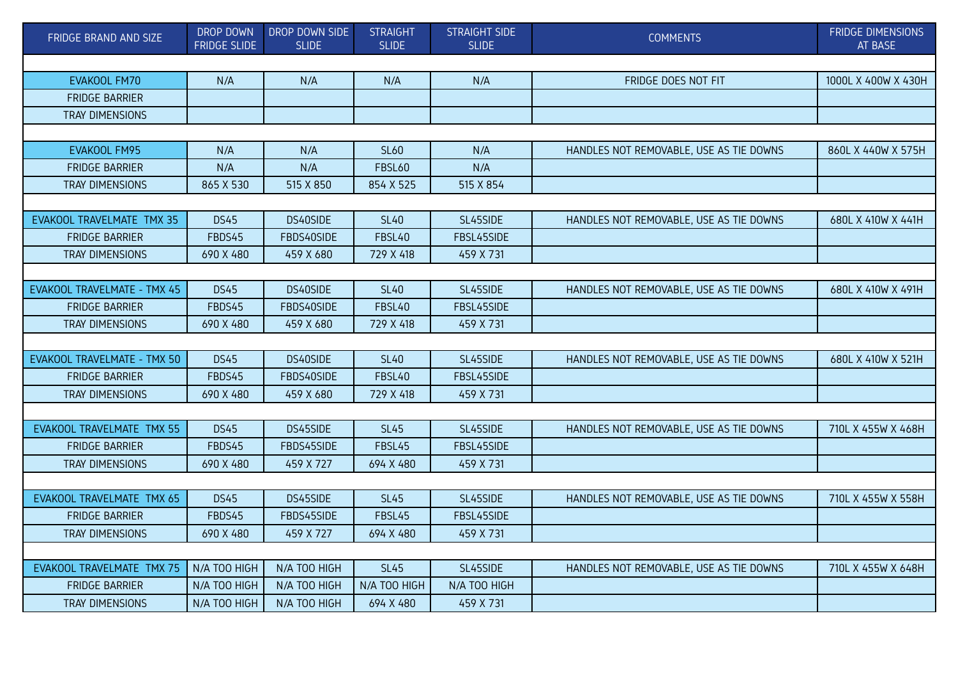| FRIDGE BRAND AND SIZE       | DROP DOWN<br><b>FRIDGE SLIDE</b> | DROP DOWN SIDE<br><b>SLIDE</b> | <b>STRAIGHT</b><br><b>SLIDE</b> | <b>STRAIGHT SIDE</b><br><b>SLIDE</b> | <b>COMMENTS</b>                         | <b>FRIDGE DIMENSIONS</b><br>AT BASE |  |  |
|-----------------------------|----------------------------------|--------------------------------|---------------------------------|--------------------------------------|-----------------------------------------|-------------------------------------|--|--|
|                             |                                  |                                |                                 |                                      |                                         |                                     |  |  |
| EVAKOOL FM70                | N/A                              | N/A                            | N/A                             | N/A                                  | FRIDGE DOES NOT FIT                     | 1000L X 400W X 430H                 |  |  |
| <b>FRIDGE BARRIER</b>       |                                  |                                |                                 |                                      |                                         |                                     |  |  |
| <b>TRAY DIMENSIONS</b>      |                                  |                                |                                 |                                      |                                         |                                     |  |  |
|                             |                                  |                                |                                 |                                      |                                         |                                     |  |  |
| EVAKOOL FM95                | N/A                              | N/A                            | <b>SL60</b>                     | N/A                                  | HANDLES NOT REMOVABLE, USE AS TIE DOWNS | 860L X 440W X 575H                  |  |  |
| <b>FRIDGE BARRIER</b>       | N/A                              | N/A                            | <b>FBSL60</b>                   | N/A                                  |                                         |                                     |  |  |
| TRAY DIMENSIONS             | 865 X 530                        | 515 X 850                      | 854 X 525                       | 515 X 854                            |                                         |                                     |  |  |
|                             |                                  |                                |                                 |                                      |                                         |                                     |  |  |
| EVAKOOL TRAVELMATE TMX 35   | <b>DS45</b>                      | DS40SIDE                       | <b>SL40</b>                     | SL45SIDE                             | HANDLES NOT REMOVABLE, USE AS TIE DOWNS | 680L X 410W X 441H                  |  |  |
| <b>FRIDGE BARRIER</b>       | FBDS45                           | FBDS40SIDE                     | FBSL40                          | FBSL45SIDE                           |                                         |                                     |  |  |
| TRAY DIMENSIONS             | 690 X 480                        | 459 X 680                      | 729 X 418                       | 459 X 731                            |                                         |                                     |  |  |
|                             |                                  |                                |                                 |                                      |                                         |                                     |  |  |
| EVAKOOL TRAVELMATE - TMX 45 | <b>DS45</b>                      | DS40SIDE                       | <b>SL40</b>                     | SL45SIDE                             | HANDLES NOT REMOVABLE, USE AS TIE DOWNS | 680L X 410W X 491H                  |  |  |
| <b>FRIDGE BARRIER</b>       | FBDS45                           | FBDS40SIDE                     | FBSL40                          | FBSL45SIDE                           |                                         |                                     |  |  |
| <b>TRAY DIMENSIONS</b>      | 690 X 480                        | 459 X 680                      | 729 X 418                       | 459 X 731                            |                                         |                                     |  |  |
|                             |                                  |                                |                                 |                                      |                                         |                                     |  |  |
| EVAKOOL TRAVELMATE - TMX 50 | <b>DS45</b>                      | DS40SIDE                       | <b>SL40</b>                     | SL45SIDE                             | HANDLES NOT REMOVABLE, USE AS TIE DOWNS | 680L X 410W X 521H                  |  |  |
| <b>FRIDGE BARRIER</b>       | FBDS45                           | FBDS40SIDE                     | FBSL40                          | FBSL45SIDE                           |                                         |                                     |  |  |
| <b>TRAY DIMENSIONS</b>      | 690 X 480                        | 459 X 680                      | 729 X 418                       | 459 X 731                            |                                         |                                     |  |  |
|                             |                                  |                                |                                 |                                      |                                         |                                     |  |  |
| EVAKOOL TRAVELMATE TMX 55   | <b>DS45</b>                      | DS45SIDE                       | <b>SL45</b>                     | SL45SIDE                             | HANDLES NOT REMOVABLE, USE AS TIE DOWNS | 710L X 455W X 468H                  |  |  |
| <b>FRIDGE BARRIER</b>       | FBDS45                           | FBDS45SIDE                     | FBSL45                          | FBSL45SIDE                           |                                         |                                     |  |  |
| <b>TRAY DIMENSIONS</b>      | 690 X 480                        | 459 X 727                      | 694 X 480                       | 459 X 731                            |                                         |                                     |  |  |
|                             |                                  |                                |                                 |                                      |                                         |                                     |  |  |
| EVAKOOL TRAVELMATE TMX 65   | <b>DS45</b>                      | DS45SIDE                       | <b>SL45</b>                     | SL45SIDE                             | HANDLES NOT REMOVABLE, USE AS TIE DOWNS | 710L X 455W X 558H                  |  |  |
| <b>FRIDGE BARRIER</b>       | FBDS45                           | FBDS45SIDE                     | FBSL45                          | FBSL45SIDE                           |                                         |                                     |  |  |
| <b>TRAY DIMENSIONS</b>      | 690 X 480                        | 459 X 727                      | 694 X 480                       | 459 X 731                            |                                         |                                     |  |  |
|                             |                                  |                                |                                 |                                      |                                         |                                     |  |  |
| EVAKOOL TRAVELMATE TMX 75   | N/A TOO HIGH                     | N/A TOO HIGH                   | <b>SL45</b>                     | SL45SIDE                             | HANDLES NOT REMOVABLE, USE AS TIE DOWNS | 710L X 455W X 648H                  |  |  |
| <b>FRIDGE BARRIER</b>       | N/A TOO HIGH                     | N/A TOO HIGH                   | N/A TOO HIGH                    | N/A TOO HIGH                         |                                         |                                     |  |  |
| <b>TRAY DIMENSIONS</b>      | N/A TOO HIGH                     | N/A TOO HIGH                   | 694 X 480                       | 459 X 731                            |                                         |                                     |  |  |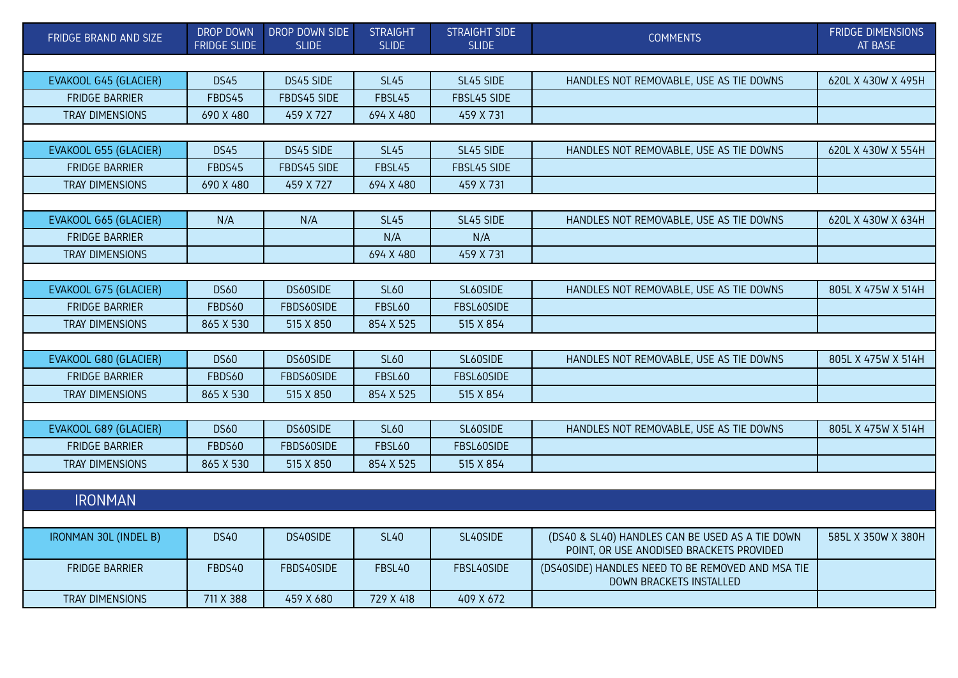| FRIDGE BRAND AND SIZE        | DROP DOWN<br><b>FRIDGE SLIDE</b> | DROP DOWN SIDE<br><b>SLIDE</b> | <b>STRAIGHT</b><br><b>SLIDE</b> | <b>STRAIGHT SIDE</b><br><b>SLIDE</b> | <b>COMMENTS</b>                                                                             | <b>FRIDGE DIMENSIONS</b><br>AT BASE |  |  |  |
|------------------------------|----------------------------------|--------------------------------|---------------------------------|--------------------------------------|---------------------------------------------------------------------------------------------|-------------------------------------|--|--|--|
|                              |                                  |                                |                                 |                                      |                                                                                             |                                     |  |  |  |
| <b>EVAKOOL G45 (GLACIER)</b> | <b>DS45</b>                      | DS45 SIDE                      | <b>SL45</b>                     | SL45 SIDE                            | HANDLES NOT REMOVABLE, USE AS TIE DOWNS                                                     | 620L X 430W X 495H                  |  |  |  |
| <b>FRIDGE BARRIER</b>        | FBDS45                           | FBDS45 SIDE                    | FBSL45                          | FBSL45 SIDE                          |                                                                                             |                                     |  |  |  |
| TRAY DIMENSIONS              | 690 X 480                        | 459 X 727                      | 694 X 480                       | 459 X 731                            |                                                                                             |                                     |  |  |  |
|                              |                                  |                                |                                 |                                      |                                                                                             |                                     |  |  |  |
| EVAKOOL G55 (GLACIER)        | <b>DS45</b>                      | DS45 SIDE                      | <b>SL45</b>                     | SL45 SIDE                            | HANDLES NOT REMOVABLE, USE AS TIE DOWNS                                                     | 620L X 430W X 554H                  |  |  |  |
| <b>FRIDGE BARRIER</b>        | FBDS45                           | FBDS45 SIDE                    | FBSL45                          | FBSL45 SIDE                          |                                                                                             |                                     |  |  |  |
| <b>TRAY DIMENSIONS</b>       | 690 X 480                        | 459 X 727                      | 694 X 480                       | 459 X 731                            |                                                                                             |                                     |  |  |  |
|                              |                                  |                                |                                 |                                      |                                                                                             |                                     |  |  |  |
| EVAKOOL G65 (GLACIER)        | N/A                              | N/A                            | <b>SL45</b>                     | SL45 SIDE                            | HANDLES NOT REMOVABLE, USE AS TIE DOWNS                                                     | 620L X 430W X 634H                  |  |  |  |
| <b>FRIDGE BARRIER</b>        |                                  |                                | N/A                             | N/A                                  |                                                                                             |                                     |  |  |  |
| <b>TRAY DIMENSIONS</b>       |                                  |                                | 694 X 480                       | 459 X 731                            |                                                                                             |                                     |  |  |  |
|                              |                                  |                                |                                 |                                      |                                                                                             |                                     |  |  |  |
| EVAKOOL G75 (GLACIER)        | <b>DS60</b>                      | DS60SIDE                       | <b>SL60</b>                     | SL60SIDE                             | HANDLES NOT REMOVABLE, USE AS TIE DOWNS                                                     | 805L X 475W X 514H                  |  |  |  |
| <b>FRIDGE BARRIER</b>        | FBDS60                           | FBDS60SIDE                     | <b>FBSL60</b>                   | FBSL60SIDE                           |                                                                                             |                                     |  |  |  |
| TRAY DIMENSIONS              | 865 X 530                        | 515 X 850                      | 854 X 525                       | 515 X 854                            |                                                                                             |                                     |  |  |  |
|                              |                                  |                                |                                 |                                      |                                                                                             |                                     |  |  |  |
| EVAKOOL G80 (GLACIER)        | <b>DS60</b>                      | DS60SIDE                       | <b>SL60</b>                     | SL60SIDE                             | HANDLES NOT REMOVABLE, USE AS TIE DOWNS                                                     | 805L X 475W X 514H                  |  |  |  |
| <b>FRIDGE BARRIER</b>        | FBDS60                           | FBDS60SIDE                     | <b>FBSL60</b>                   | FBSL60SIDE                           |                                                                                             |                                     |  |  |  |
| TRAY DIMENSIONS              | 865 X 530                        | 515 X 850                      | 854 X 525                       | 515 X 854                            |                                                                                             |                                     |  |  |  |
|                              |                                  |                                |                                 |                                      |                                                                                             |                                     |  |  |  |
| EVAKOOL G89 (GLACIER)        | <b>DS60</b>                      | DS60SIDE                       | <b>SL60</b>                     | SL60SIDE                             | HANDLES NOT REMOVABLE, USE AS TIE DOWNS                                                     | 805L X 475W X 514H                  |  |  |  |
| <b>FRIDGE BARRIER</b>        | FBDS60                           | FBDS60SIDE                     | <b>FBSL60</b>                   | FBSL60SIDE                           |                                                                                             |                                     |  |  |  |
| TRAY DIMENSIONS              | 865 X 530                        | 515 X 850                      | 854 X 525                       | 515 X 854                            |                                                                                             |                                     |  |  |  |
|                              |                                  |                                |                                 |                                      |                                                                                             |                                     |  |  |  |
| <b>IRONMAN</b>               |                                  |                                |                                 |                                      |                                                                                             |                                     |  |  |  |
|                              |                                  |                                |                                 |                                      |                                                                                             |                                     |  |  |  |
| IRONMAN 30L (INDEL B)        | <b>DS40</b>                      | DS40SIDE                       | <b>SL40</b>                     | SL40SIDE                             | (DS40 & SL40) HANDLES CAN BE USED AS A TIE DOWN<br>POINT, OR USE ANODISED BRACKETS PROVIDED | 585L X 350W X 380H                  |  |  |  |
| <b>FRIDGE BARRIER</b>        | FBDS40                           | FBDS40SIDE                     | FBSL40                          | FBSL40SIDE                           | (DS40SIDE) HANDLES NEED TO BE REMOVED AND MSA TIE<br>DOWN BRACKETS INSTALLED                |                                     |  |  |  |
| <b>TRAY DIMENSIONS</b>       | 711 X 388                        | 459 X 680                      | 729 X 418                       | 409 X 672                            |                                                                                             |                                     |  |  |  |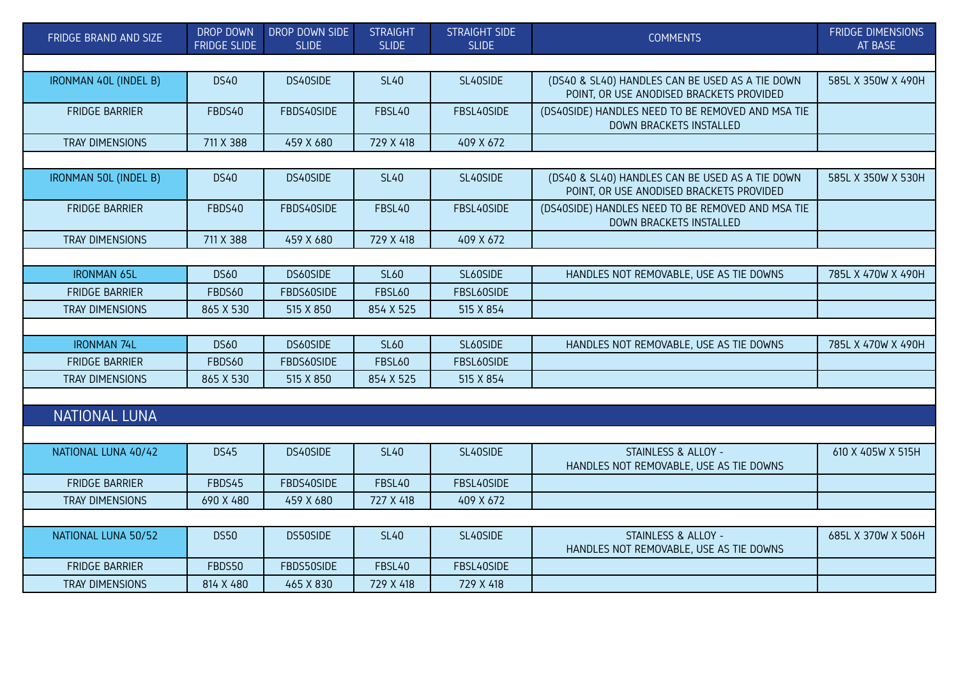| FRIDGE BRAND AND SIZE  | DROP DOWN<br><b>FRIDGE SLIDE</b> | DROP DOWN SIDE<br><b>SLIDE</b> | <b>STRAIGHT</b><br><b>SLIDE</b> | <b>STRAIGHT SIDE</b><br><b>SLIDE</b> | <b>COMMENTS</b>                                                                             | <b>FRIDGE DIMENSIONS</b><br>AT BASE |
|------------------------|----------------------------------|--------------------------------|---------------------------------|--------------------------------------|---------------------------------------------------------------------------------------------|-------------------------------------|
|                        |                                  |                                |                                 |                                      |                                                                                             |                                     |
| IRONMAN 40L (INDEL B)  | <b>DS40</b>                      | DS40SIDE                       | <b>SL40</b>                     | SL40SIDE                             | (DS40 & SL40) HANDLES CAN BE USED AS A TIE DOWN<br>POINT, OR USE ANODISED BRACKETS PROVIDED | 585L X 350W X 490H                  |
| <b>FRIDGE BARRIER</b>  | FBDS40                           | FBDS40SIDE                     | FBSL40                          | FBSL40SIDE                           | (DS40SIDE) HANDLES NEED TO BE REMOVED AND MSA TIE<br>DOWN BRACKETS INSTALLED                |                                     |
| TRAY DIMENSIONS        | 711 X 388                        | 459 X 680                      | 729 X 418                       | 409 X 672                            |                                                                                             |                                     |
|                        |                                  |                                |                                 |                                      |                                                                                             |                                     |
| IRONMAN 50L (INDEL B)  | <b>DS40</b>                      | DS40SIDE                       | <b>SL40</b>                     | SL40SIDE                             | (DS40 & SL40) HANDLES CAN BE USED AS A TIE DOWN<br>POINT, OR USE ANODISED BRACKETS PROVIDED | 585L X 350W X 530H                  |
| <b>FRIDGE BARRIER</b>  | FBDS40                           | FBDS40SIDE                     | FBSL40                          | FBSL40SIDE                           | (DS40SIDE) HANDLES NEED TO BE REMOVED AND MSA TIE<br>DOWN BRACKETS INSTALLED                |                                     |
| <b>TRAY DIMENSIONS</b> | 711 X 388                        | 459 X 680                      | 729 X 418                       | 409 X 672                            |                                                                                             |                                     |
|                        |                                  |                                |                                 |                                      |                                                                                             |                                     |
| <b>IRONMAN 65L</b>     | <b>DS60</b>                      | DS60SIDE                       | <b>SL60</b>                     | SL60SIDE                             | HANDLES NOT REMOVABLE, USE AS TIE DOWNS                                                     | 785L X 470W X 490H                  |
| <b>FRIDGE BARRIER</b>  | FBDS60                           | FBDS60SIDE                     | <b>FBSL60</b>                   | FBSL60SIDE                           |                                                                                             |                                     |
| TRAY DIMENSIONS        | 865 X 530                        | 515 X 850                      | 854 X 525                       | 515 X 854                            |                                                                                             |                                     |
|                        |                                  |                                |                                 |                                      |                                                                                             |                                     |
| <b>IRONMAN 74L</b>     | <b>DS60</b>                      | DS60SIDE                       | <b>SL60</b>                     | SL60SIDE                             | HANDLES NOT REMOVABLE, USE AS TIE DOWNS                                                     | 785L X 470W X 490H                  |
| <b>FRIDGE BARRIER</b>  | FBDS60                           | FBDS60SIDE                     | <b>FBSL60</b>                   | FBSL60SIDE                           |                                                                                             |                                     |
| TRAY DIMENSIONS        | 865 X 530                        | 515 X 850                      | 854 X 525                       | 515 X 854                            |                                                                                             |                                     |
|                        |                                  |                                |                                 |                                      |                                                                                             |                                     |
| <b>NATIONAL LUNA</b>   |                                  |                                |                                 |                                      |                                                                                             |                                     |
|                        |                                  |                                |                                 |                                      |                                                                                             |                                     |
| NATIONAL LUNA 40/42    | <b>DS45</b>                      | DS40SIDE                       | <b>SL40</b>                     | SL40SIDE                             | STAINLESS & ALLOY -<br>HANDLES NOT REMOVABLE, USE AS TIE DOWNS                              | 610 X 405W X 515H                   |
| <b>FRIDGE BARRIER</b>  | FBDS45                           | FBDS40SIDE                     | FBSL40                          | FBSL40SIDE                           |                                                                                             |                                     |
| TRAY DIMENSIONS        | 690 X 480                        | 459 X 680                      | 727 X 418                       | 409 X 672                            |                                                                                             |                                     |
|                        |                                  |                                |                                 |                                      |                                                                                             |                                     |
| NATIONAL LUNA 50/52    | <b>DS50</b>                      | DS50SIDE                       | <b>SL40</b>                     | SL40SIDE                             | STAINLESS & ALLOY -<br>HANDLES NOT REMOVABLE, USE AS TIE DOWNS                              | 685L X 370W X 506H                  |
| <b>FRIDGE BARRIER</b>  | FBDS50                           | FBDS50SIDE                     | FBSL40                          | FBSL40SIDE                           |                                                                                             |                                     |
| TRAY DIMENSIONS        | 814 X 480                        | 465 X 830                      | 729 X 418                       | 729 X 418                            |                                                                                             |                                     |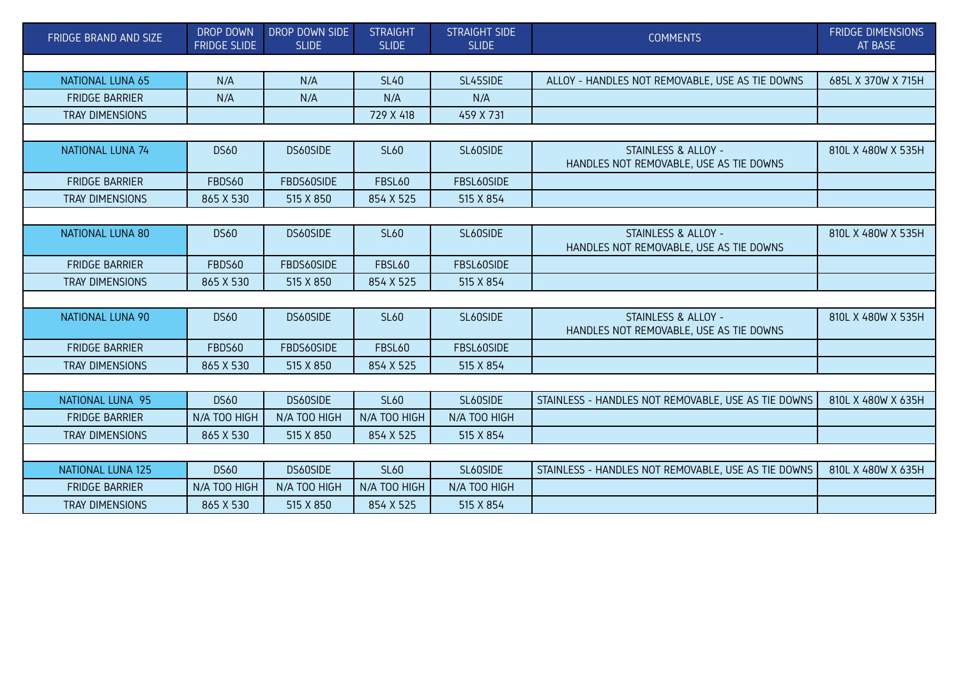| FRIDGE BRAND AND SIZE    | <b>DROP DOWN</b><br><b>FRIDGE SLIDE</b> | DROP DOWN SIDE<br><b>SLIDE</b> | <b>STRAIGHT</b><br><b>SLIDE</b> | <b>STRAIGHT SIDE</b><br><b>SLIDE</b> | <b>COMMENTS</b>                                                | <b>FRIDGE DIMENSIONS</b><br>AT BASE |  |  |
|--------------------------|-----------------------------------------|--------------------------------|---------------------------------|--------------------------------------|----------------------------------------------------------------|-------------------------------------|--|--|
|                          |                                         |                                |                                 |                                      |                                                                |                                     |  |  |
| <b>NATIONAL LUNA 65</b>  | N/A                                     | N/A                            | <b>SL40</b>                     | SL45SIDE                             | ALLOY - HANDLES NOT REMOVABLE, USE AS TIE DOWNS                | 685L X 370W X 715H                  |  |  |
| <b>FRIDGE BARRIER</b>    | N/A                                     | N/A                            | N/A                             | N/A                                  |                                                                |                                     |  |  |
| <b>TRAY DIMENSIONS</b>   |                                         |                                | 729 X 418                       | 459 X 731                            |                                                                |                                     |  |  |
|                          |                                         |                                |                                 |                                      |                                                                |                                     |  |  |
| NATIONAL LUNA 74         | <b>DS60</b>                             | DS60SIDE                       | <b>SL60</b>                     | SL60SIDE                             | STAINLESS & ALLOY -<br>HANDLES NOT REMOVABLE, USE AS TIE DOWNS | 810L X 480W X 535H                  |  |  |
| <b>FRIDGE BARRIER</b>    | FBDS60                                  | FBDS60SIDE                     | <b>FBSL60</b>                   | FBSL60SIDE                           |                                                                |                                     |  |  |
| TRAY DIMENSIONS          | 865 X 530                               | 515 X 850                      | 854 X 525                       | 515 X 854                            |                                                                |                                     |  |  |
|                          |                                         |                                |                                 |                                      |                                                                |                                     |  |  |
| NATIONAL LUNA 80         | <b>DS60</b>                             | DS60SIDE                       | <b>SL60</b>                     | SL60SIDE                             | STAINLESS & ALLOY -<br>HANDLES NOT REMOVABLE, USE AS TIE DOWNS | 810L X 480W X 535H                  |  |  |
| <b>FRIDGE BARRIER</b>    | FBDS60                                  | FBDS60SIDE                     | <b>FBSL60</b>                   | FBSL60SIDE                           |                                                                |                                     |  |  |
| <b>TRAY DIMENSIONS</b>   | 865 X 530                               | 515 X 850                      | 854 X 525                       | 515 X 854                            |                                                                |                                     |  |  |
|                          |                                         |                                |                                 |                                      |                                                                |                                     |  |  |
| NATIONAL LUNA 90         | <b>DS60</b>                             | DS60SIDE                       | <b>SL60</b>                     | SL60SIDE                             | STAINLESS & ALLOY -<br>HANDLES NOT REMOVABLE, USE AS TIE DOWNS | 810L X 480W X 535H                  |  |  |
| <b>FRIDGE BARRIER</b>    | FBDS60                                  | FBDS60SIDE                     | <b>FBSL60</b>                   | FBSL60SIDE                           |                                                                |                                     |  |  |
| <b>TRAY DIMENSIONS</b>   | 865 X 530                               | 515 X 850                      | 854 X 525                       | 515 X 854                            |                                                                |                                     |  |  |
|                          |                                         |                                |                                 |                                      |                                                                |                                     |  |  |
| NATIONAL LUNA 95         | <b>DS60</b>                             | DS60SIDE                       | <b>SL60</b>                     | SL60SIDE                             | STAINLESS - HANDLES NOT REMOVABLE, USE AS TIE DOWNS            | 810L X 480W X 635H                  |  |  |
| <b>FRIDGE BARRIER</b>    | N/A TOO HIGH                            | N/A TOO HIGH                   | N/A TOO HIGH                    | N/A TOO HIGH                         |                                                                |                                     |  |  |
| TRAY DIMENSIONS          | 865 X 530                               | 515 X 850                      | 854 X 525                       | 515 X 854                            |                                                                |                                     |  |  |
|                          |                                         |                                |                                 |                                      |                                                                |                                     |  |  |
| <b>NATIONAL LUNA 125</b> | <b>DS60</b>                             | DS60SIDE                       | <b>SL60</b>                     | SL60SIDE                             | STAINLESS - HANDLES NOT REMOVABLE, USE AS TIE DOWNS            | 810L X 480W X 635H                  |  |  |
| <b>FRIDGE BARRIER</b>    | N/A TOO HIGH                            | N/A TOO HIGH                   | N/A TOO HIGH                    | N/A TOO HIGH                         |                                                                |                                     |  |  |
| <b>TRAY DIMENSIONS</b>   | 865 X 530                               | 515 X 850                      | 854 X 525                       | 515 X 854                            |                                                                |                                     |  |  |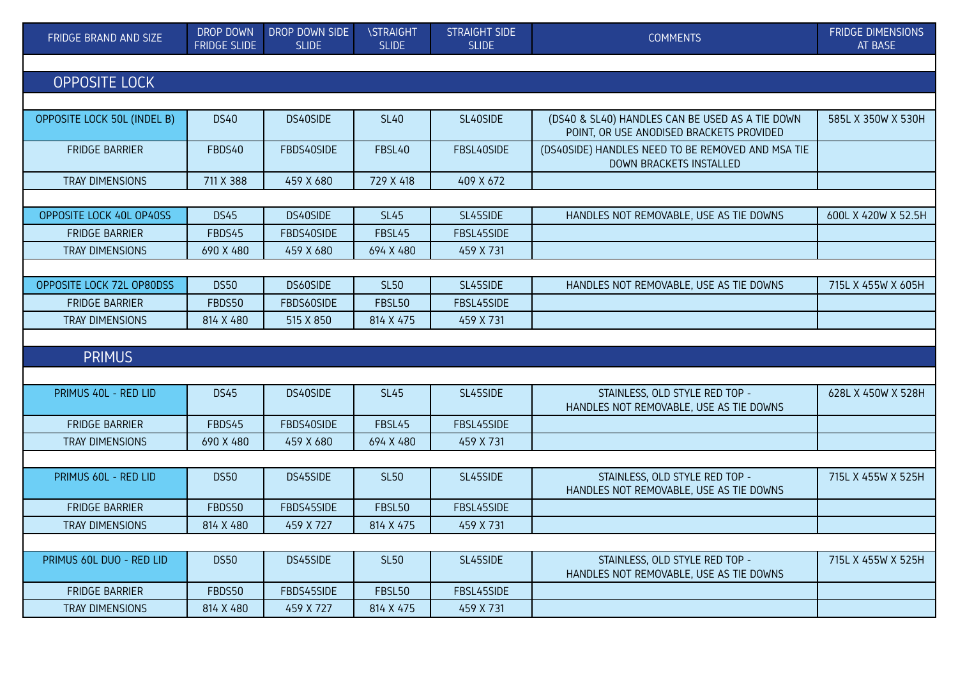| FRIDGE BRAND AND SIZE       | DROP DOWN<br><b>FRIDGE SLIDE</b> | DROP DOWN SIDE<br><b>SLIDE</b> | <b>\STRAIGHT</b><br><b>SLIDE</b> | <b>STRAIGHT SIDE</b><br><b>SLIDE</b> | <b>COMMENTS</b>                                                                             | <b>FRIDGE DIMENSIONS</b><br>AT BASE |
|-----------------------------|----------------------------------|--------------------------------|----------------------------------|--------------------------------------|---------------------------------------------------------------------------------------------|-------------------------------------|
|                             |                                  |                                |                                  |                                      |                                                                                             |                                     |
| <b>OPPOSITE LOCK</b>        |                                  |                                |                                  |                                      |                                                                                             |                                     |
|                             |                                  |                                |                                  |                                      |                                                                                             |                                     |
| OPPOSITE LOCK 50L (INDEL B) | <b>DS40</b>                      | DS40SIDE                       | <b>SL40</b>                      | SL40SIDE                             | (DS40 & SL40) HANDLES CAN BE USED AS A TIE DOWN<br>POINT, OR USE ANODISED BRACKETS PROVIDED | 585L X 350W X 530H                  |
| <b>FRIDGE BARRIER</b>       | FBDS40                           | FBDS40SIDE                     | FBSL40                           | FBSL40SIDE                           | (DS40SIDE) HANDLES NEED TO BE REMOVED AND MSA TIE<br>DOWN BRACKETS INSTALLED                |                                     |
| TRAY DIMENSIONS             | 711 X 388                        | 459 X 680                      | 729 X 418                        | 409 X 672                            |                                                                                             |                                     |
|                             |                                  |                                |                                  |                                      |                                                                                             |                                     |
| OPPOSITE LOCK 40L OP40SS    | <b>DS45</b>                      | DS40SIDE                       | <b>SL45</b>                      | SL45SIDE                             | HANDLES NOT REMOVABLE, USE AS TIE DOWNS                                                     | 600L X 420W X 52.5H                 |
| <b>FRIDGE BARRIER</b>       | FBDS45                           | FBDS40SIDE                     | FBSL45                           | FBSL45SIDE                           |                                                                                             |                                     |
| TRAY DIMENSIONS             | 690 X 480                        | 459 X 680                      | 694 X 480                        | 459 X 731                            |                                                                                             |                                     |
|                             |                                  |                                |                                  |                                      |                                                                                             |                                     |
| OPPOSITE LOCK 72L OP80DSS   | <b>DS50</b>                      | DS60SIDE                       | <b>SL50</b>                      | SL45SIDE                             | HANDLES NOT REMOVABLE, USE AS TIE DOWNS                                                     | 715L X 455W X 605H                  |
| <b>FRIDGE BARRIER</b>       | FBDS50                           | FBDS60SIDE                     | FBSL50                           | FBSL45SIDE                           |                                                                                             |                                     |
| <b>TRAY DIMENSIONS</b>      | 814 X 480                        | 515 X 850                      | 814 X 475                        | 459 X 731                            |                                                                                             |                                     |
|                             |                                  |                                |                                  |                                      |                                                                                             |                                     |
| <b>PRIMUS</b>               |                                  |                                |                                  |                                      |                                                                                             |                                     |
|                             |                                  |                                |                                  |                                      |                                                                                             |                                     |
| PRIMUS 40L - RED LID        | <b>DS45</b>                      | DS40SIDE                       | <b>SL45</b>                      | SL45SIDE                             | STAINLESS, OLD STYLE RED TOP -<br>HANDLES NOT REMOVABLE, USE AS TIE DOWNS                   | 628L X 450W X 528H                  |
| <b>FRIDGE BARRIER</b>       | FBDS45                           | FBDS40SIDE                     | FBSL45                           | FBSL45SIDE                           |                                                                                             |                                     |
| <b>TRAY DIMENSIONS</b>      | 690 X 480                        | 459 X 680                      | 694 X 480                        | 459 X 731                            |                                                                                             |                                     |
|                             |                                  |                                |                                  |                                      |                                                                                             |                                     |
| PRIMUS 60L - RED LID        | <b>DS50</b>                      | DS45SIDE                       | <b>SL50</b>                      | SL45SIDE                             | STAINLESS, OLD STYLE RED TOP -<br>HANDLES NOT REMOVABLE, USE AS TIE DOWNS                   | 715L X 455W X 525H                  |
| <b>FRIDGE BARRIER</b>       | FBDS50                           | FBDS45SIDE                     | <b>FBSL50</b>                    | FBSL45SIDE                           |                                                                                             |                                     |
| TRAY DIMENSIONS             | 814 X 480                        | 459 X 727                      | 814 X 475                        | 459 X 731                            |                                                                                             |                                     |
|                             |                                  |                                |                                  |                                      |                                                                                             |                                     |
| PRIMUS 60L DUO - RED LID    | <b>DS50</b>                      | DS45SIDE                       | <b>SL50</b>                      | SL45SIDE                             | STAINLESS, OLD STYLE RED TOP -<br>HANDLES NOT REMOVABLE, USE AS TIE DOWNS                   | 715L X 455W X 525H                  |
| <b>FRIDGE BARRIER</b>       | FBDS50                           | FBDS45SIDE                     | FBSL50                           | FBSL45SIDE                           |                                                                                             |                                     |
| TRAY DIMENSIONS             | 814 X 480                        | 459 X 727                      | 814 X 475                        | 459 X 731                            |                                                                                             |                                     |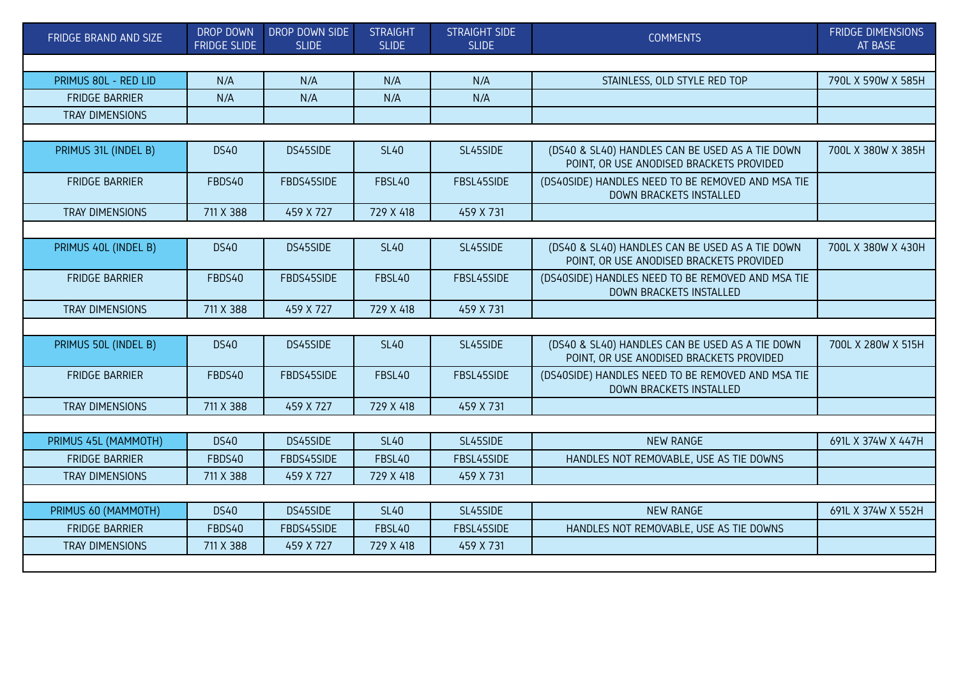| FRIDGE BRAND AND SIZE  | <b>DROP DOWN</b><br><b>FRIDGE SLIDE</b> | DROP DOWN SIDE<br><b>SLIDE</b> | <b>STRAIGHT</b><br><b>SLIDE</b> | <b>STRAIGHT SIDE</b><br><b>SLIDE</b> | <b>COMMENTS</b>                                                                             | <b>FRIDGE DIMENSIONS</b><br>AT BASE |
|------------------------|-----------------------------------------|--------------------------------|---------------------------------|--------------------------------------|---------------------------------------------------------------------------------------------|-------------------------------------|
|                        |                                         |                                |                                 |                                      |                                                                                             |                                     |
| PRIMUS 80L - RED LID   | N/A                                     | N/A                            | N/A                             | N/A                                  | STAINLESS, OLD STYLE RED TOP                                                                | 790L X 590W X 585H                  |
| <b>FRIDGE BARRIER</b>  | N/A                                     | N/A                            | N/A                             | N/A                                  |                                                                                             |                                     |
| TRAY DIMENSIONS        |                                         |                                |                                 |                                      |                                                                                             |                                     |
|                        |                                         |                                |                                 |                                      |                                                                                             |                                     |
| PRIMUS 31L (INDEL B)   | <b>DS40</b>                             | DS45SIDE                       | <b>SL40</b>                     | SL45SIDE                             | (DS40 & SL40) HANDLES CAN BE USED AS A TIE DOWN<br>POINT, OR USE ANODISED BRACKETS PROVIDED | 700L X 380W X 385H                  |
| <b>FRIDGE BARRIER</b>  | FBDS40                                  | FBDS45SIDE                     | FBSL40                          | FBSL45SIDE                           | (DS40SIDE) HANDLES NEED TO BE REMOVED AND MSA TIE<br>DOWN BRACKETS INSTALLED                |                                     |
| TRAY DIMENSIONS        | 711 X 388                               | 459 X 727                      | 729 X 418                       | 459 X 731                            |                                                                                             |                                     |
|                        |                                         |                                |                                 |                                      |                                                                                             |                                     |
| PRIMUS 40L (INDEL B)   | <b>DS40</b>                             | DS45SIDE                       | <b>SL40</b>                     | SL45SIDE                             | (DS40 & SL40) HANDLES CAN BE USED AS A TIE DOWN<br>POINT, OR USE ANODISED BRACKETS PROVIDED | 700L X 380W X 430H                  |
| <b>FRIDGE BARRIER</b>  | FBDS40                                  | FBDS45SIDE                     | FBSL40                          | FBSL45SIDE                           | (DS40SIDE) HANDLES NEED TO BE REMOVED AND MSA TIE<br>DOWN BRACKETS INSTALLED                |                                     |
| <b>TRAY DIMENSIONS</b> | 711 X 388                               | 459 X 727                      | 729 X 418                       | 459 X 731                            |                                                                                             |                                     |
|                        |                                         |                                |                                 |                                      |                                                                                             |                                     |
| PRIMUS 50L (INDEL B)   | <b>DS40</b>                             | DS45SIDE                       | <b>SL40</b>                     | SL45SIDE                             | (DS40 & SL40) HANDLES CAN BE USED AS A TIE DOWN<br>POINT, OR USE ANODISED BRACKETS PROVIDED | 700L X 280W X 515H                  |
| <b>FRIDGE BARRIER</b>  | FBDS40                                  | FBDS45SIDE                     | FBSL40                          | FBSL45SIDE                           | (DS40SIDE) HANDLES NEED TO BE REMOVED AND MSA TIE<br><b>DOWN BRACKETS INSTALLED</b>         |                                     |
| TRAY DIMENSIONS        | 711 X 388                               | 459 X 727                      | 729 X 418                       | 459 X 731                            |                                                                                             |                                     |
|                        |                                         |                                |                                 |                                      |                                                                                             |                                     |
| PRIMUS 45L (MAMMOTH)   | <b>DS40</b>                             | DS45SIDE                       | <b>SL40</b>                     | SL45SIDE                             | <b>NEW RANGE</b>                                                                            | 691L X 374W X 447H                  |
| <b>FRIDGE BARRIER</b>  | FBDS40                                  | FBDS45SIDE                     | FBSL40                          | FBSL45SIDE                           | HANDLES NOT REMOVABLE, USE AS TIE DOWNS                                                     |                                     |
| TRAY DIMENSIONS        | 711 X 388                               | 459 X 727                      | 729 X 418                       | 459 X 731                            |                                                                                             |                                     |
|                        |                                         |                                |                                 |                                      |                                                                                             |                                     |
| PRIMUS 60 (MAMMOTH)    | <b>DS40</b>                             | DS45SIDE                       | <b>SL40</b>                     | SL45SIDE                             | <b>NEW RANGE</b>                                                                            | 691L X 374W X 552H                  |
| <b>FRIDGE BARRIER</b>  | FBDS40                                  | FBDS45SIDE                     | FBSL40                          | FBSL45SIDE                           | HANDLES NOT REMOVABLE, USE AS TIE DOWNS                                                     |                                     |
| <b>TRAY DIMENSIONS</b> | 711 X 388                               | 459 X 727                      | 729 X 418                       | 459 X 731                            |                                                                                             |                                     |
|                        |                                         |                                |                                 |                                      |                                                                                             |                                     |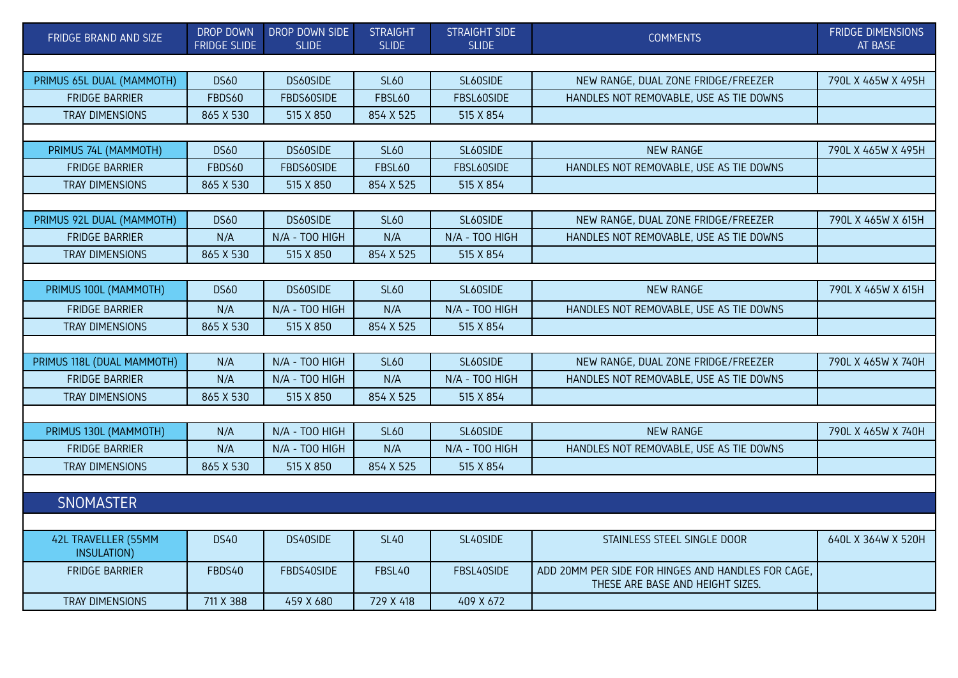| FRIDGE BRAND AND SIZE              | DROP DOWN<br><b>FRIDGE SLIDE</b> | DROP DOWN SIDE<br><b>SLIDE</b> | <b>STRAIGHT</b><br><b>SLIDE</b> | <b>STRAIGHT SIDE</b><br><b>SLIDE</b> | <b>COMMENTS</b>                                                                        | <b>FRIDGE DIMENSIONS</b><br>AT BASE |  |  |  |
|------------------------------------|----------------------------------|--------------------------------|---------------------------------|--------------------------------------|----------------------------------------------------------------------------------------|-------------------------------------|--|--|--|
|                                    |                                  |                                |                                 |                                      |                                                                                        |                                     |  |  |  |
| PRIMUS 65L DUAL (MAMMOTH)          | <b>DS60</b>                      | DS60SIDE                       | <b>SL60</b>                     | SL60SIDE                             | NEW RANGE, DUAL ZONE FRIDGE/FREEZER                                                    | 790L X 465W X 495H                  |  |  |  |
| <b>FRIDGE BARRIER</b>              | FBDS60                           | FBDS60SIDE                     | <b>FBSL60</b>                   | FBSL60SIDE                           | HANDLES NOT REMOVABLE, USE AS TIE DOWNS                                                |                                     |  |  |  |
| <b>TRAY DIMENSIONS</b>             | 865 X 530                        | 515 X 850                      | 854 X 525                       | 515 X 854                            |                                                                                        |                                     |  |  |  |
|                                    |                                  |                                |                                 |                                      |                                                                                        |                                     |  |  |  |
| PRIMUS 74L (MAMMOTH)               | <b>DS60</b>                      | DS60SIDE                       | <b>SL60</b>                     | SL60SIDE                             | <b>NEW RANGE</b>                                                                       | 790L X 465W X 495H                  |  |  |  |
| <b>FRIDGE BARRIER</b>              | FBDS60                           | FBDS60SIDE                     | <b>FBSL60</b>                   | FBSL60SIDE                           | HANDLES NOT REMOVABLE, USE AS TIE DOWNS                                                |                                     |  |  |  |
| TRAY DIMENSIONS                    | 865 X 530                        | 515 X 850                      | 854 X 525                       | 515 X 854                            |                                                                                        |                                     |  |  |  |
|                                    |                                  |                                |                                 |                                      |                                                                                        |                                     |  |  |  |
| PRIMUS 92L DUAL (MAMMOTH)          | <b>DS60</b>                      | DS60SIDE                       | <b>SL60</b>                     | SL60SIDE                             | NEW RANGE, DUAL ZONE FRIDGE/FREEZER                                                    | 790L X 465W X 615H                  |  |  |  |
| <b>FRIDGE BARRIER</b>              | N/A                              | N/A - TOO HIGH                 | N/A                             | N/A - TOO HIGH                       | HANDLES NOT REMOVABLE, USE AS TIE DOWNS                                                |                                     |  |  |  |
| <b>TRAY DIMENSIONS</b>             | 865 X 530                        | 515 X 850                      | 854 X 525                       | 515 X 854                            |                                                                                        |                                     |  |  |  |
|                                    |                                  |                                |                                 |                                      |                                                                                        |                                     |  |  |  |
| PRIMUS 100L (MAMMOTH)              | <b>DS60</b>                      | DS60SIDE                       | <b>SL60</b>                     | SL60SIDE                             | <b>NEW RANGE</b>                                                                       | 790L X 465W X 615H                  |  |  |  |
| <b>FRIDGE BARRIER</b>              | N/A                              | N/A - TOO HIGH                 | N/A                             | N/A - TOO HIGH                       | HANDLES NOT REMOVABLE, USE AS TIE DOWNS                                                |                                     |  |  |  |
| <b>TRAY DIMENSIONS</b>             | 865 X 530                        | 515 X 850                      | 854 X 525                       | 515 X 854                            |                                                                                        |                                     |  |  |  |
|                                    |                                  |                                |                                 |                                      |                                                                                        |                                     |  |  |  |
| PRIMUS 118L (DUAL MAMMOTH)         | N/A                              | N/A - TOO HIGH                 | <b>SL60</b>                     | SL60SIDE                             | NEW RANGE, DUAL ZONE FRIDGE/FREEZER                                                    | 790L X 465W X 740H                  |  |  |  |
| <b>FRIDGE BARRIER</b>              | N/A                              | N/A - TOO HIGH                 | N/A                             | N/A - TOO HIGH                       | HANDLES NOT REMOVABLE, USE AS TIE DOWNS                                                |                                     |  |  |  |
| <b>TRAY DIMENSIONS</b>             | 865 X 530                        | 515 X 850                      | 854 X 525                       | 515 X 854                            |                                                                                        |                                     |  |  |  |
|                                    |                                  |                                |                                 |                                      |                                                                                        |                                     |  |  |  |
| PRIMUS 130L (MAMMOTH)              | N/A                              | N/A - TOO HIGH                 | <b>SL60</b>                     | SL60SIDE                             | <b>NEW RANGE</b>                                                                       | 790L X 465W X 740H                  |  |  |  |
| <b>FRIDGE BARRIER</b>              | N/A                              | N/A - TOO HIGH                 | N/A                             | N/A - TOO HIGH                       | HANDLES NOT REMOVABLE, USE AS TIE DOWNS                                                |                                     |  |  |  |
| TRAY DIMENSIONS                    | 865 X 530                        | 515 X 850                      | 854 X 525                       | 515 X 854                            |                                                                                        |                                     |  |  |  |
|                                    |                                  |                                |                                 |                                      |                                                                                        |                                     |  |  |  |
| <b>SNOMASTER</b>                   |                                  |                                |                                 |                                      |                                                                                        |                                     |  |  |  |
|                                    |                                  |                                |                                 |                                      |                                                                                        |                                     |  |  |  |
| 42L TRAVELLER (55MM<br>INSULATION) | <b>DS40</b>                      | DS40SIDE                       | <b>SL40</b>                     | SL40SIDE                             | STAINLESS STEEL SINGLE DOOR                                                            | 640L X 364W X 520H                  |  |  |  |
| <b>FRIDGE BARRIER</b>              | FBDS40                           | FBDS40SIDE                     | FBSL40                          | FBSL40SIDE                           | ADD 20MM PER SIDE FOR HINGES AND HANDLES FOR CAGE,<br>THESE ARE BASE AND HEIGHT SIZES. |                                     |  |  |  |
| <b>TRAY DIMENSIONS</b>             | 711 X 388                        | 459 X 680                      | 729 X 418                       | 409 X 672                            |                                                                                        |                                     |  |  |  |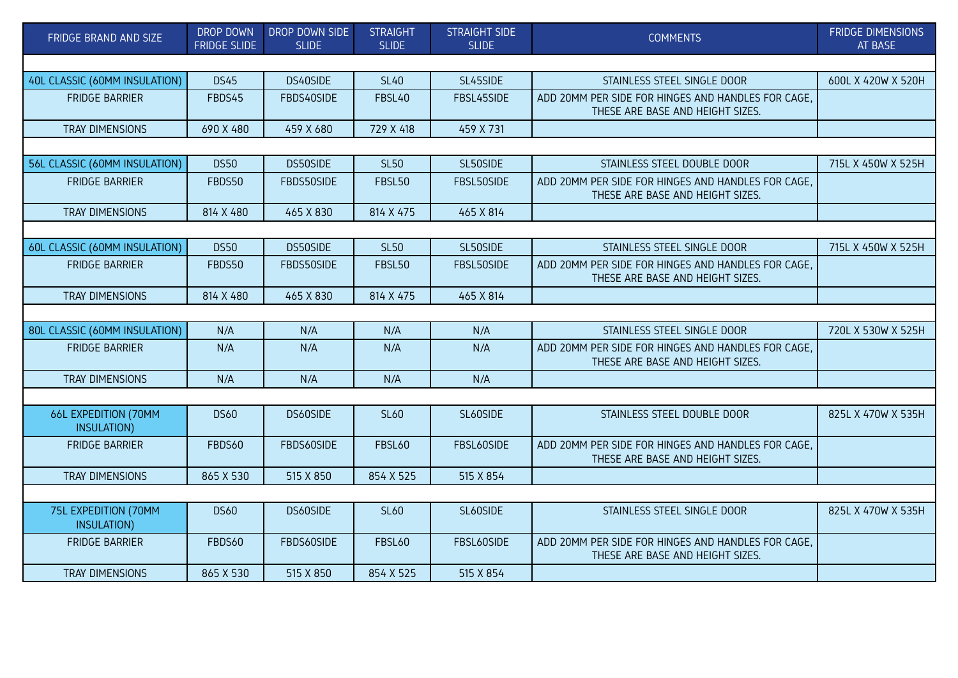| FRIDGE BRAND AND SIZE               | <b>DROP DOWN</b><br><b>FRIDGE SLIDE</b> | DROP DOWN SIDE<br><b>SLIDE</b> | <b>STRAIGHT</b><br><b>SLIDE</b> | <b>STRAIGHT SIDE</b><br><b>SLIDE</b> | <b>COMMENTS</b>                                                                        | <b>FRIDGE DIMENSIONS</b><br>AT BASE |
|-------------------------------------|-----------------------------------------|--------------------------------|---------------------------------|--------------------------------------|----------------------------------------------------------------------------------------|-------------------------------------|
|                                     |                                         |                                |                                 |                                      |                                                                                        |                                     |
| 40L CLASSIC (60MM INSULATION)       | <b>DS45</b>                             | DS40SIDE                       | <b>SL40</b>                     | SL45SIDE                             | STAINLESS STEEL SINGLE DOOR                                                            | 600L X 420W X 520H                  |
| <b>FRIDGE BARRIER</b>               | FBDS45                                  | FBDS40SIDE                     | FBSL40                          | FBSL45SIDE                           | ADD 20MM PER SIDE FOR HINGES AND HANDLES FOR CAGE,<br>THESE ARE BASE AND HEIGHT SIZES. |                                     |
| TRAY DIMENSIONS                     | 690 X 480                               | 459 X 680                      | 729 X 418                       | 459 X 731                            |                                                                                        |                                     |
|                                     |                                         |                                |                                 |                                      |                                                                                        |                                     |
| 56L CLASSIC (60MM INSULATION)       | <b>DS50</b>                             | DS50SIDE                       | <b>SL50</b>                     | SL50SIDE                             | STAINLESS STEEL DOUBLE DOOR                                                            | 715L X 450W X 525H                  |
| <b>FRIDGE BARRIER</b>               | FBDS50                                  | FBDS50SIDE                     | <b>FBSL50</b>                   | FBSL50SIDE                           | ADD 20MM PER SIDE FOR HINGES AND HANDLES FOR CAGE.<br>THESE ARE BASE AND HEIGHT SIZES. |                                     |
| TRAY DIMENSIONS                     | 814 X 480                               | 465 X 830                      | 814 X 475                       | 465 X 814                            |                                                                                        |                                     |
|                                     |                                         |                                |                                 |                                      |                                                                                        |                                     |
| 60L CLASSIC (60MM INSULATION)       | <b>DS50</b>                             | DS50SIDE                       | <b>SL50</b>                     | SL50SIDE                             | STAINLESS STEEL SINGLE DOOR                                                            | 715L X 450W X 525H                  |
| <b>FRIDGE BARRIER</b>               | FBDS50                                  | FBDS50SIDE                     | <b>FBSL50</b>                   | FBSL50SIDE                           | ADD 20MM PER SIDE FOR HINGES AND HANDLES FOR CAGE,<br>THESE ARE BASE AND HEIGHT SIZES. |                                     |
| TRAY DIMENSIONS                     | 814 X 480                               | 465 X 830                      | 814 X 475                       | 465 X 814                            |                                                                                        |                                     |
|                                     |                                         |                                |                                 |                                      |                                                                                        |                                     |
| 80L CLASSIC (60MM INSULATION)       | N/A                                     | N/A                            | N/A                             | N/A                                  | STAINLESS STEEL SINGLE DOOR                                                            | 720L X 530W X 525H                  |
| <b>FRIDGE BARRIER</b>               | N/A                                     | N/A                            | N/A                             | N/A                                  | ADD 20MM PER SIDE FOR HINGES AND HANDLES FOR CAGE,<br>THESE ARE BASE AND HEIGHT SIZES. |                                     |
| TRAY DIMENSIONS                     | N/A                                     | N/A                            | N/A                             | N/A                                  |                                                                                        |                                     |
|                                     |                                         |                                |                                 |                                      |                                                                                        |                                     |
| 66L EXPEDITION (70MM<br>INSULATION) | <b>DS60</b>                             | DS60SIDE                       | <b>SL60</b>                     | SL60SIDE                             | STAINLESS STEEL DOUBLE DOOR                                                            | 825L X 470W X 535H                  |
| <b>FRIDGE BARRIER</b>               | FBDS60                                  | FBDS60SIDE                     | <b>FBSL60</b>                   | FBSL60SIDE                           | ADD 20MM PER SIDE FOR HINGES AND HANDLES FOR CAGE.<br>THESE ARE BASE AND HEIGHT SIZES. |                                     |
| <b>TRAY DIMENSIONS</b>              | 865 X 530                               | 515 X 850                      | 854 X 525                       | 515 X 854                            |                                                                                        |                                     |
|                                     |                                         |                                |                                 |                                      |                                                                                        |                                     |
| 75L EXPEDITION (70MM<br>INSULATION) | <b>DS60</b>                             | DS60SIDE                       | <b>SL60</b>                     | SL60SIDE                             | STAINLESS STEEL SINGLE DOOR                                                            | 825L X 470W X 535H                  |
| <b>FRIDGE BARRIER</b>               | FBDS60                                  | FBDS60SIDE                     | <b>FBSL60</b>                   | FBSL60SIDE                           | ADD 20MM PER SIDE FOR HINGES AND HANDLES FOR CAGE,<br>THESE ARE BASE AND HEIGHT SIZES. |                                     |
| TRAY DIMENSIONS                     | 865 X 530                               | 515 X 850                      | 854 X 525                       | 515 X 854                            |                                                                                        |                                     |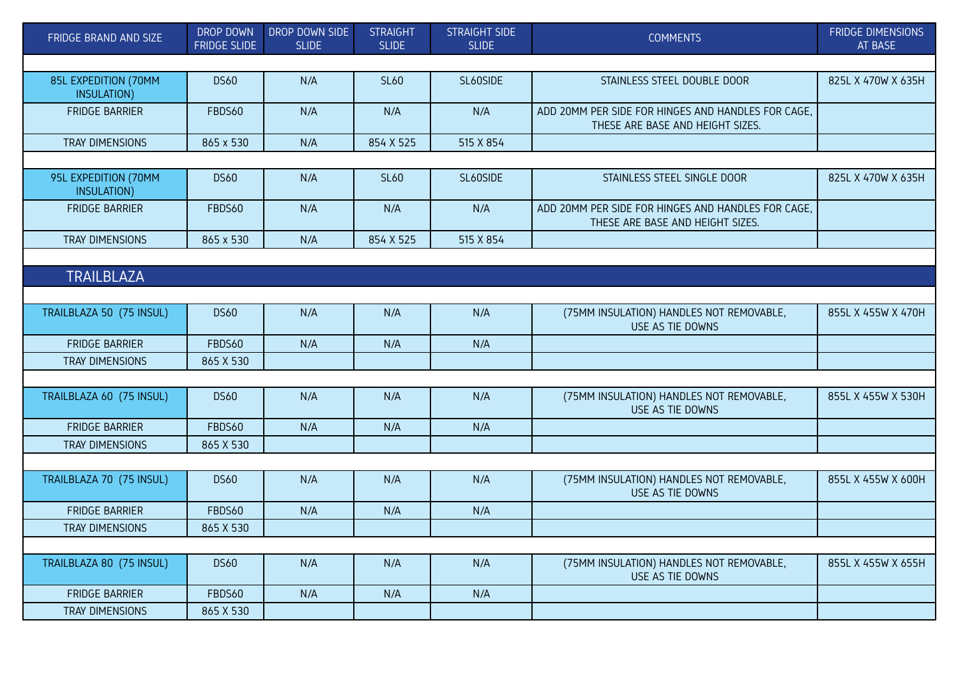| FRIDGE BRAND AND SIZE               | <b>DROP DOWN</b><br><b>FRIDGE SLIDE</b> | DROP DOWN SIDE<br><b>SLIDE</b> | <b>STRAIGHT</b><br><b>SLIDE</b> | <b>STRAIGHT SIDE</b><br><b>SLIDE</b> | <b>COMMENTS</b>                                                                        | <b>FRIDGE DIMENSIONS</b><br><b>AT BASE</b> |  |  |
|-------------------------------------|-----------------------------------------|--------------------------------|---------------------------------|--------------------------------------|----------------------------------------------------------------------------------------|--------------------------------------------|--|--|
|                                     |                                         |                                |                                 |                                      |                                                                                        |                                            |  |  |
| 85L EXPEDITION (70MM<br>INSULATION) | <b>DS60</b>                             | N/A                            | <b>SL60</b>                     | SL60SIDE                             | STAINLESS STEEL DOUBLE DOOR                                                            | 825L X 470W X 635H                         |  |  |
| <b>FRIDGE BARRIER</b>               | FBDS60                                  | N/A                            | N/A                             | N/A                                  | ADD 20MM PER SIDE FOR HINGES AND HANDLES FOR CAGE.<br>THESE ARE BASE AND HEIGHT SIZES. |                                            |  |  |
| TRAY DIMENSIONS                     | 865 x 530                               | N/A                            | 854 X 525                       | 515 X 854                            |                                                                                        |                                            |  |  |
|                                     |                                         |                                |                                 |                                      |                                                                                        |                                            |  |  |
| 95L EXPEDITION (70MM<br>INSULATION) | <b>DS60</b>                             | N/A                            | <b>SL60</b>                     | SL60SIDE                             | STAINLESS STEEL SINGLE DOOR                                                            | 825L X 470W X 635H                         |  |  |
| <b>FRIDGE BARRIER</b>               | FBDS60                                  | N/A                            | N/A                             | N/A                                  | ADD 20MM PER SIDE FOR HINGES AND HANDLES FOR CAGE,<br>THESE ARE BASE AND HEIGHT SIZES. |                                            |  |  |
| <b>TRAY DIMENSIONS</b>              | 865 x 530                               | N/A                            | 854 X 525                       | 515 X 854                            |                                                                                        |                                            |  |  |
|                                     |                                         |                                |                                 |                                      |                                                                                        |                                            |  |  |
| <b>TRAILBLAZA</b>                   |                                         |                                |                                 |                                      |                                                                                        |                                            |  |  |
|                                     |                                         |                                |                                 |                                      |                                                                                        |                                            |  |  |
| TRAILBLAZA 50 (75 INSUL)            | <b>DS60</b>                             | N/A                            | N/A                             | N/A                                  | (75MM INSULATION) HANDLES NOT REMOVABLE,<br>USE AS TIE DOWNS                           | 855L X 455W X 470H                         |  |  |
| <b>FRIDGE BARRIER</b>               | FBDS60                                  | N/A                            | N/A                             | N/A                                  |                                                                                        |                                            |  |  |
| TRAY DIMENSIONS                     | 865 X 530                               |                                |                                 |                                      |                                                                                        |                                            |  |  |
|                                     |                                         |                                |                                 |                                      |                                                                                        |                                            |  |  |
| TRAILBLAZA 60 (75 INSUL)            | <b>DS60</b>                             | N/A                            | N/A                             | N/A                                  | (75MM INSULATION) HANDLES NOT REMOVABLE,<br>USE AS TIE DOWNS                           | 855L X 455W X 530H                         |  |  |
| <b>FRIDGE BARRIER</b>               | FBDS60                                  | N/A                            | N/A                             | N/A                                  |                                                                                        |                                            |  |  |
| <b>TRAY DIMENSIONS</b>              | 865 X 530                               |                                |                                 |                                      |                                                                                        |                                            |  |  |
|                                     |                                         |                                |                                 |                                      |                                                                                        |                                            |  |  |
| TRAILBLAZA 70 (75 INSUL)            | <b>DS60</b>                             | N/A                            | N/A                             | N/A                                  | (75MM INSULATION) HANDLES NOT REMOVABLE,<br>USE AS TIE DOWNS                           | 855L X 455W X 600H                         |  |  |
| <b>FRIDGE BARRIER</b>               | FBDS60                                  | N/A                            | N/A                             | N/A                                  |                                                                                        |                                            |  |  |
| TRAY DIMENSIONS                     | 865 X 530                               |                                |                                 |                                      |                                                                                        |                                            |  |  |
|                                     |                                         |                                |                                 |                                      |                                                                                        |                                            |  |  |
| TRAILBLAZA 80 (75 INSUL)            | <b>DS60</b>                             | N/A                            | N/A                             | N/A                                  | (75MM INSULATION) HANDLES NOT REMOVABLE,<br>USE AS TIE DOWNS                           | 855L X 455W X 655H                         |  |  |
| <b>FRIDGE BARRIER</b>               | FBDS60                                  | N/A                            | N/A                             | N/A                                  |                                                                                        |                                            |  |  |
| TRAY DIMENSIONS                     | 865 X 530                               |                                |                                 |                                      |                                                                                        |                                            |  |  |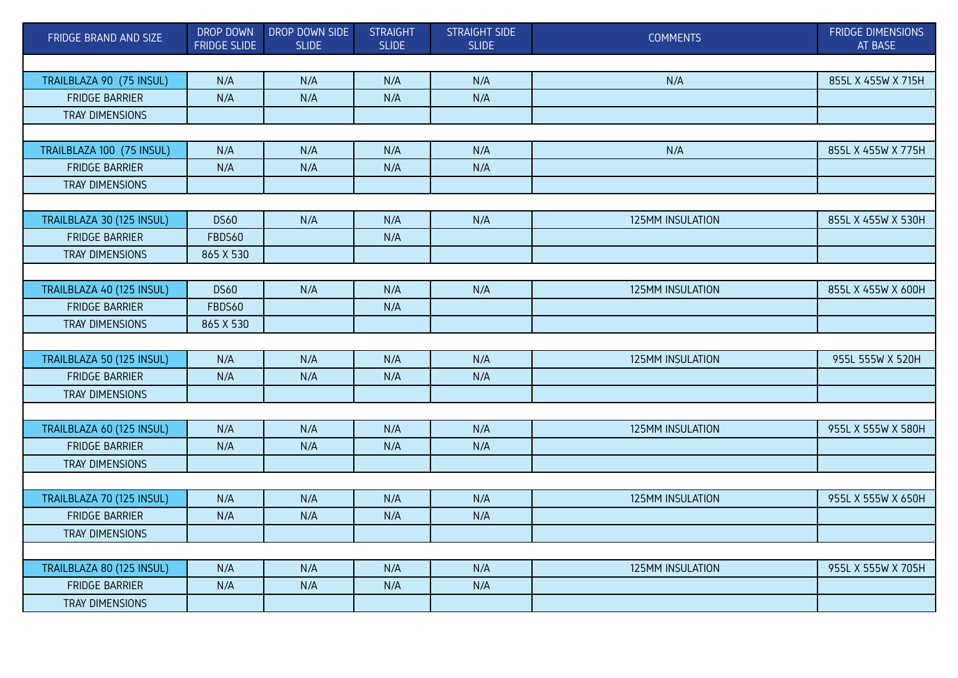| FRIDGE BRAND AND SIZE     | DROP DOWN<br><b>FRIDGE SLIDE</b> | DROP DOWN SIDE<br><b>SLIDE</b> | <b>STRAIGHT</b><br><b>SLIDE</b> | <b>STRAIGHT SIDE</b><br><b>SLIDE</b> | <b>COMMENTS</b>         | FRIDGE DIMENSIONS<br><b>AT BASE</b> |  |  |
|---------------------------|----------------------------------|--------------------------------|---------------------------------|--------------------------------------|-------------------------|-------------------------------------|--|--|
|                           |                                  |                                |                                 |                                      |                         |                                     |  |  |
| TRAILBLAZA 90 (75 INSUL)  | N/A                              | N/A                            | N/A                             | N/A                                  | N/A                     | 855L X 455W X 715H                  |  |  |
| <b>FRIDGE BARRIER</b>     | N/A                              | N/A                            | N/A                             | N/A                                  |                         |                                     |  |  |
| TRAY DIMENSIONS           |                                  |                                |                                 |                                      |                         |                                     |  |  |
|                           |                                  |                                |                                 |                                      |                         |                                     |  |  |
| TRAILBLAZA 100 (75 INSUL) | N/A                              | N/A                            | N/A                             | N/A                                  | N/A                     | 855L X 455W X 775H                  |  |  |
| <b>FRIDGE BARRIER</b>     | N/A                              | N/A                            | N/A                             | N/A                                  |                         |                                     |  |  |
| TRAY DIMENSIONS           |                                  |                                |                                 |                                      |                         |                                     |  |  |
|                           |                                  |                                |                                 |                                      |                         |                                     |  |  |
| TRAILBLAZA 30 (125 INSUL) | <b>DS60</b>                      | N/A                            | N/A                             | N/A                                  | 125MM INSULATION        | 855L X 455W X 530H                  |  |  |
| <b>FRIDGE BARRIER</b>     | FBDS60                           |                                | N/A                             |                                      |                         |                                     |  |  |
| TRAY DIMENSIONS           | 865 X 530                        |                                |                                 |                                      |                         |                                     |  |  |
|                           |                                  |                                |                                 |                                      |                         |                                     |  |  |
| TRAILBLAZA 40 (125 INSUL) | <b>DS60</b>                      | N/A                            | N/A                             | N/A                                  | 125MM INSULATION        | 855L X 455W X 600H                  |  |  |
| <b>FRIDGE BARRIER</b>     | FBDS60                           |                                | N/A                             |                                      |                         |                                     |  |  |
| TRAY DIMENSIONS           | 865 X 530                        |                                |                                 |                                      |                         |                                     |  |  |
|                           |                                  |                                |                                 |                                      |                         |                                     |  |  |
| TRAILBLAZA 50 (125 INSUL) | N/A                              | N/A                            | N/A                             | N/A                                  | <b>125MM INSULATION</b> | 955L 555W X 520H                    |  |  |
| <b>FRIDGE BARRIER</b>     | N/A                              | N/A                            | N/A                             | N/A                                  |                         |                                     |  |  |
| TRAY DIMENSIONS           |                                  |                                |                                 |                                      |                         |                                     |  |  |
|                           |                                  |                                |                                 |                                      |                         |                                     |  |  |
| TRAILBLAZA 60 (125 INSUL) | N/A                              | N/A                            | N/A                             | N/A                                  | 125MM INSULATION        | 955L X 555W X 580H                  |  |  |
| <b>FRIDGE BARRIER</b>     | N/A                              | N/A                            | N/A                             | N/A                                  |                         |                                     |  |  |
| TRAY DIMENSIONS           |                                  |                                |                                 |                                      |                         |                                     |  |  |
|                           |                                  |                                |                                 |                                      |                         |                                     |  |  |
| TRAILBLAZA 70 (125 INSUL) | N/A                              | N/A                            | N/A                             | N/A                                  | 125MM INSULATION        | 955L X 555W X 650H                  |  |  |
| <b>FRIDGE BARRIER</b>     | N/A                              | N/A                            | N/A                             | N/A                                  |                         |                                     |  |  |
| TRAY DIMENSIONS           |                                  |                                |                                 |                                      |                         |                                     |  |  |
|                           |                                  |                                |                                 |                                      |                         |                                     |  |  |
| TRAILBLAZA 80 (125 INSUL) | N/A                              | N/A                            | N/A                             | N/A                                  | 125MM INSULATION        | 955L X 555W X 705H                  |  |  |
| <b>FRIDGE BARRIER</b>     | N/A                              | N/A                            | N/A                             | N/A                                  |                         |                                     |  |  |
| TRAY DIMENSIONS           |                                  |                                |                                 |                                      |                         |                                     |  |  |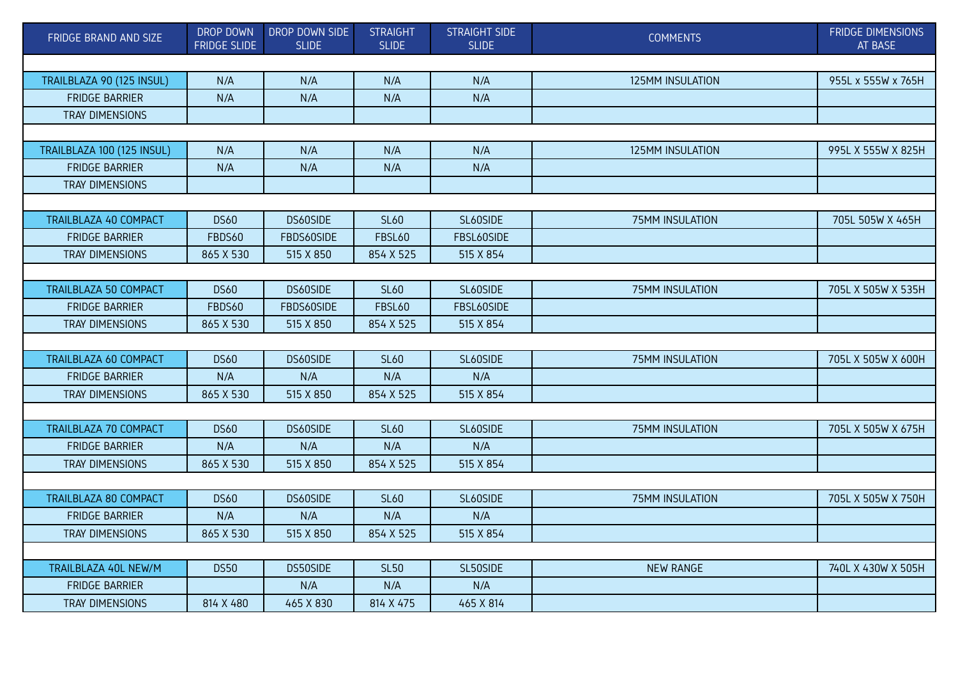| FRIDGE BRAND AND SIZE        | <b>DROP DOWN</b><br><b>FRIDGE SLIDE</b> | DROP DOWN SIDE<br><b>SLIDE</b> | <b>STRAIGHT</b><br><b>SLIDE</b> | <b>STRAIGHT SIDE</b><br><b>SLIDE</b> | <b>COMMENTS</b>  | <b>FRIDGE DIMENSIONS</b><br>AT BASE |  |  |
|------------------------------|-----------------------------------------|--------------------------------|---------------------------------|--------------------------------------|------------------|-------------------------------------|--|--|
|                              |                                         |                                |                                 |                                      |                  |                                     |  |  |
| TRAILBLAZA 90 (125 INSUL)    | N/A                                     | N/A                            | N/A                             | N/A                                  | 125MM INSULATION | 955L x 555W x 765H                  |  |  |
| <b>FRIDGE BARRIER</b>        | N/A                                     | N/A                            | N/A                             | N/A                                  |                  |                                     |  |  |
| <b>TRAY DIMENSIONS</b>       |                                         |                                |                                 |                                      |                  |                                     |  |  |
|                              |                                         |                                |                                 |                                      |                  |                                     |  |  |
| TRAILBLAZA 100 (125 INSUL)   | N/A                                     | N/A                            | N/A                             | N/A                                  | 125MM INSULATION | 995L X 555W X 825H                  |  |  |
| <b>FRIDGE BARRIER</b>        | N/A                                     | N/A                            | N/A                             | N/A                                  |                  |                                     |  |  |
| TRAY DIMENSIONS              |                                         |                                |                                 |                                      |                  |                                     |  |  |
|                              |                                         |                                |                                 |                                      |                  |                                     |  |  |
| TRAILBLAZA 40 COMPACT        | <b>DS60</b>                             | DS60SIDE                       | <b>SL60</b>                     | SL60SIDE                             | 75MM INSULATION  | 705L 505W X 465H                    |  |  |
| <b>FRIDGE BARRIER</b>        | FBDS60                                  | FBDS60SIDE                     | <b>FBSL60</b>                   | FBSL60SIDE                           |                  |                                     |  |  |
| <b>TRAY DIMENSIONS</b>       | 865 X 530                               | 515 X 850                      | 854 X 525                       | 515 X 854                            |                  |                                     |  |  |
|                              |                                         |                                |                                 |                                      |                  |                                     |  |  |
| <b>TRAILBLAZA 50 COMPACT</b> | <b>DS60</b>                             | DS60SIDE                       | <b>SL60</b>                     | SL60SIDE                             | 75MM INSULATION  | 705L X 505W X 535H                  |  |  |
| <b>FRIDGE BARRIER</b>        | FBDS60                                  | FBDS60SIDE                     | <b>FBSL60</b>                   | FBSL60SIDE                           |                  |                                     |  |  |
| TRAY DIMENSIONS              | 865 X 530                               | 515 X 850                      | 854 X 525                       | 515 X 854                            |                  |                                     |  |  |
|                              |                                         |                                |                                 |                                      |                  |                                     |  |  |
| TRAILBLAZA 60 COMPACT        | <b>DS60</b>                             | DS60SIDE                       | <b>SL60</b>                     | SL60SIDE                             | 75MM INSULATION  | 705L X 505W X 600H                  |  |  |
| <b>FRIDGE BARRIER</b>        | N/A                                     | N/A                            | N/A                             | N/A                                  |                  |                                     |  |  |
| TRAY DIMENSIONS              | 865 X 530                               | 515 X 850                      | 854 X 525                       | 515 X 854                            |                  |                                     |  |  |
|                              |                                         |                                |                                 |                                      |                  |                                     |  |  |
| <b>TRAILBLAZA 70 COMPACT</b> | <b>DS60</b>                             | DS60SIDE                       | <b>SL60</b>                     | SL60SIDE                             | 75MM INSULATION  | 705L X 505W X 675H                  |  |  |
| <b>FRIDGE BARRIER</b>        | N/A                                     | N/A                            | N/A                             | N/A                                  |                  |                                     |  |  |
| TRAY DIMENSIONS              | 865 X 530                               | 515 X 850                      | 854 X 525                       | 515 X 854                            |                  |                                     |  |  |
|                              |                                         |                                |                                 |                                      |                  |                                     |  |  |
| TRAILBLAZA 80 COMPACT        | <b>DS60</b>                             | DS60SIDE                       | <b>SL60</b>                     | SL60SIDE                             | 75MM INSULATION  | 705L X 505W X 750H                  |  |  |
| <b>FRIDGE BARRIER</b>        | N/A                                     | N/A                            | N/A                             | N/A                                  |                  |                                     |  |  |
| TRAY DIMENSIONS              | 865 X 530                               | 515 X 850                      | 854 X 525                       | 515 X 854                            |                  |                                     |  |  |
|                              |                                         |                                |                                 |                                      |                  |                                     |  |  |
| TRAILBLAZA 40L NEW/M         | <b>DS50</b>                             | DS50SIDE                       | <b>SL50</b>                     | SL50SIDE                             | <b>NEW RANGE</b> | 740L X 430W X 505H                  |  |  |
| <b>FRIDGE BARRIER</b>        |                                         | N/A                            | N/A                             | N/A                                  |                  |                                     |  |  |
| TRAY DIMENSIONS              | 814 X 480                               | 465 X 830                      | 814 X 475                       | 465 X 814                            |                  |                                     |  |  |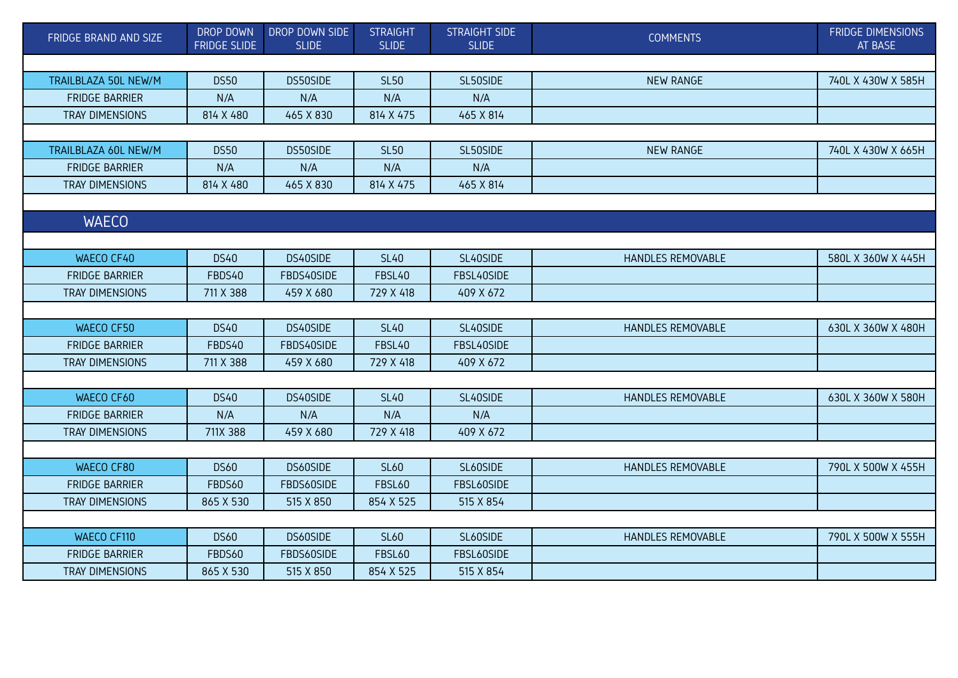| FRIDGE BRAND AND SIZE  | DROP DOWN<br><b>FRIDGE SLIDE</b> | DROP DOWN SIDE<br><b>SLIDE</b> | <b>STRAIGHT</b><br><b>SLIDE</b> | <b>STRAIGHT SIDE</b><br><b>SLIDE</b> | <b>COMMENTS</b>   | <b>FRIDGE DIMENSIONS</b><br>AT BASE |
|------------------------|----------------------------------|--------------------------------|---------------------------------|--------------------------------------|-------------------|-------------------------------------|
|                        |                                  |                                |                                 |                                      |                   |                                     |
| TRAILBLAZA 50L NEW/M   | <b>DS50</b>                      | DS50SIDE                       | <b>SL50</b>                     | SL50SIDE                             | <b>NEW RANGE</b>  | 740L X 430W X 585H                  |
| <b>FRIDGE BARRIER</b>  | N/A                              | N/A                            | N/A                             | N/A                                  |                   |                                     |
| TRAY DIMENSIONS        | 814 X 480                        | 465 X 830                      | 814 X 475                       | 465 X 814                            |                   |                                     |
|                        |                                  |                                |                                 |                                      |                   |                                     |
| TRAILBLAZA 60L NEW/M   | <b>DS50</b>                      | DS50SIDE                       | <b>SL50</b>                     | SL50SIDE                             | <b>NEW RANGE</b>  | 740L X 430W X 665H                  |
| <b>FRIDGE BARRIER</b>  | N/A                              | N/A                            | N/A                             | N/A                                  |                   |                                     |
| TRAY DIMENSIONS        | 814 X 480                        | 465 X 830                      | 814 X 475                       | 465 X 814                            |                   |                                     |
|                        |                                  |                                |                                 |                                      |                   |                                     |
| <b>WAECO</b>           |                                  |                                |                                 |                                      |                   |                                     |
|                        |                                  |                                |                                 |                                      |                   |                                     |
| WAECO CF40             | <b>DS40</b>                      | DS40SIDE                       | <b>SL40</b>                     | SL40SIDE                             | HANDLES REMOVABLE | 580L X 360W X 445H                  |
| <b>FRIDGE BARRIER</b>  | FBDS40                           | FBDS40SIDE                     | FBSL40                          | FBSL40SIDE                           |                   |                                     |
| <b>TRAY DIMENSIONS</b> | 711 X 388                        | 459 X 680                      | 729 X 418                       | 409 X 672                            |                   |                                     |
|                        |                                  |                                |                                 |                                      |                   |                                     |
| WAECO CF50             | <b>DS40</b>                      | DS40SIDE                       | <b>SL40</b>                     | SL40SIDE                             | HANDLES REMOVABLE | 630L X 360W X 480H                  |
| <b>FRIDGE BARRIER</b>  | FBDS40                           | FBDS40SIDE                     | FBSL40                          | FBSL40SIDE                           |                   |                                     |
| TRAY DIMENSIONS        | 711 X 388                        | 459 X 680                      | 729 X 418                       | 409 X 672                            |                   |                                     |
|                        |                                  |                                |                                 |                                      |                   |                                     |
| WAECO CF60             | <b>DS40</b>                      | DS40SIDE                       | <b>SL40</b>                     | SL40SIDE                             | HANDLES REMOVABLE | 630L X 360W X 580H                  |
| <b>FRIDGE BARRIER</b>  | N/A                              | N/A                            | N/A                             | N/A                                  |                   |                                     |
| TRAY DIMENSIONS        | 711X 388                         | 459 X 680                      | 729 X 418                       | 409 X 672                            |                   |                                     |
|                        |                                  |                                |                                 |                                      |                   |                                     |
| WAECO CF80             | <b>DS60</b>                      | DS60SIDE                       | <b>SL60</b>                     | SL60SIDE                             | HANDLES REMOVABLE | 790L X 500W X 455H                  |
| <b>FRIDGE BARRIER</b>  | FBDS60                           | FBDS60SIDE                     | <b>FBSL60</b>                   | FBSL60SIDE                           |                   |                                     |
| TRAY DIMENSIONS        | 865 X 530                        | 515 X 850                      | 854 X 525                       | 515 X 854                            |                   |                                     |
|                        |                                  |                                |                                 |                                      |                   |                                     |
| WAECO CF110            | <b>DS60</b>                      | DS60SIDE                       | <b>SL60</b>                     | SL60SIDE                             | HANDLES REMOVABLE | 790L X 500W X 555H                  |
| <b>FRIDGE BARRIER</b>  | <b>FBDS60</b>                    | FBDS60SIDE                     | <b>FBSL60</b>                   | FBSL60SIDE                           |                   |                                     |
| TRAY DIMENSIONS        | 865 X 530                        | 515 X 850                      | 854 X 525                       | 515 X 854                            |                   |                                     |